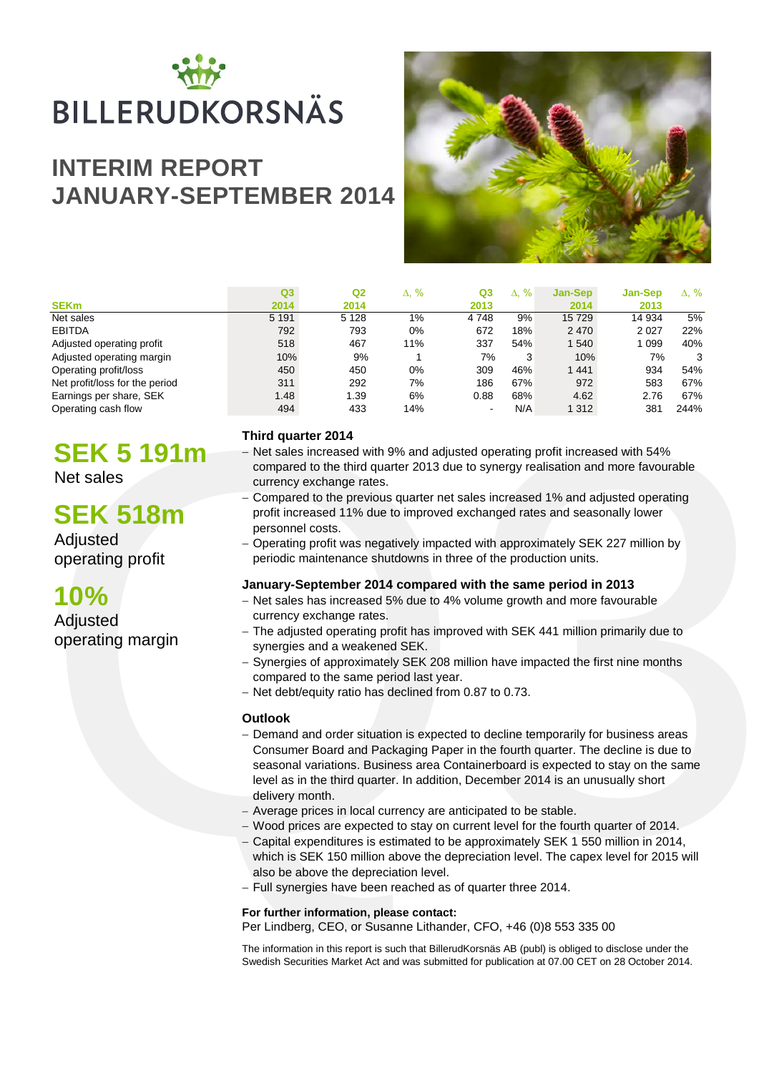# BILLERUDKORSNÄS

# **INTERIM REPORT JANUARY-SEPTEMBER 2014**



|                                | Q <sub>3</sub> | Q2      | Δ, % | Q <sub>3</sub>           | $\Delta$ , % | Jan-Sep | <b>Jan-Sep</b> | Δ, % |
|--------------------------------|----------------|---------|------|--------------------------|--------------|---------|----------------|------|
| <b>SEK<sub>m</sub></b>         | 2014           | 2014    |      | 2013                     |              | 2014    | 2013           |      |
| Net sales                      | 5 1 9 1        | 5 1 2 8 | 1%   | 4748                     | 9%           | 15729   | 14 934         | 5%   |
| <b>EBITDA</b>                  | 792            | 793     | 0%   | 672                      | 18%          | 2 4 7 0 | 2027           | 22%  |
| Adjusted operating profit      | 518            | 467     | 11%  | 337                      | 54%          | 1540    | 1 0 9 9        | 40%  |
| Adjusted operating margin      | 10%            | 9%      |      | 7%                       | 3            | 10%     | 7%             | 3    |
| Operating profit/loss          | 450            | 450     | 0%   | 309                      | 46%          | 1 4 4 1 | 934            | 54%  |
| Net profit/loss for the period | 311            | 292     | 7%   | 186                      | 67%          | 972     | 583            | 67%  |
| Earnings per share, SEK        | 1.48           | 1.39    | 6%   | 0.88                     | 68%          | 4.62    | 2.76           | 67%  |
| Operating cash flow            | 494            | 433     | 14%  | $\overline{\phantom{a}}$ | N/A          | 1 3 1 2 | 381            | 244% |

# **SEK 5 191m**

Net sales

# **SEK 518m**

Adjusted operating profit

# **10%**

**Adjusted** operating margin

## **Third quarter 2014**

- − Net sales increased with 9% and adjusted operating profit increased with 54% compared to the third quarter 2013 due to synergy realisation and more favourable currency exchange rates.
- − Compared to the previous quarter net sales increased 1% and adjusted operating profit increased 11% due to improved exchanged rates and seasonally lower personnel costs.
- − Operating profit was negatively impacted with approximately SEK 227 million by periodic maintenance shutdowns in three of the production units.

## **January-September 2014 compared with the same period in 2013**

- − Net sales has increased 5% due to 4% volume growth and more favourable currency exchange rates.
- − The adjusted operating profit has improved with SEK 441 million primarily due to synergies and a weakened SEK.
- − Synergies of approximately SEK 208 million have impacted the first nine months compared to the same period last year.
- − Net debt/equity ratio has declined from 0.87 to 0.73.

### **Outlook**

- **SEK 51910**<br>
Third quarter 2014<br>
The sales increased with 9% and adjusted operating profit increased with 54%<br>
Let sales<br>
compared to the hird quarter 2013 due to synergy realisation and more favourable<br>
currency exchange − Demand and order situation is expected to decline temporarily for business areas Consumer Board and Packaging Paper in the fourth quarter. The decline is due to seasonal variations. Business area Containerboard is expected to stay on the same level as in the third quarter. In addition, December 2014 is an unusually short delivery month.
	- − Average prices in local currency are anticipated to be stable.
	- − Wood prices are expected to stay on current level for the fourth quarter of 2014.
	- − Capital expenditures is estimated to be approximately SEK 1 550 million in 2014, which is SEK 150 million above the depreciation level. The capex level for 2015 will also be above the depreciation level.
	- − Full synergies have been reached as of quarter three 2014.

### **For further information, please contact:**

Per Lindberg, CEO, or Susanne Lithander, CFO, +46 (0)8 553 335 00

The information in this report is such that BillerudKorsnäs AB (publ) is obliged to disclose under the Swedish Securities Market Act and was submitted for publication at 07.00 CET on 28 October 2014.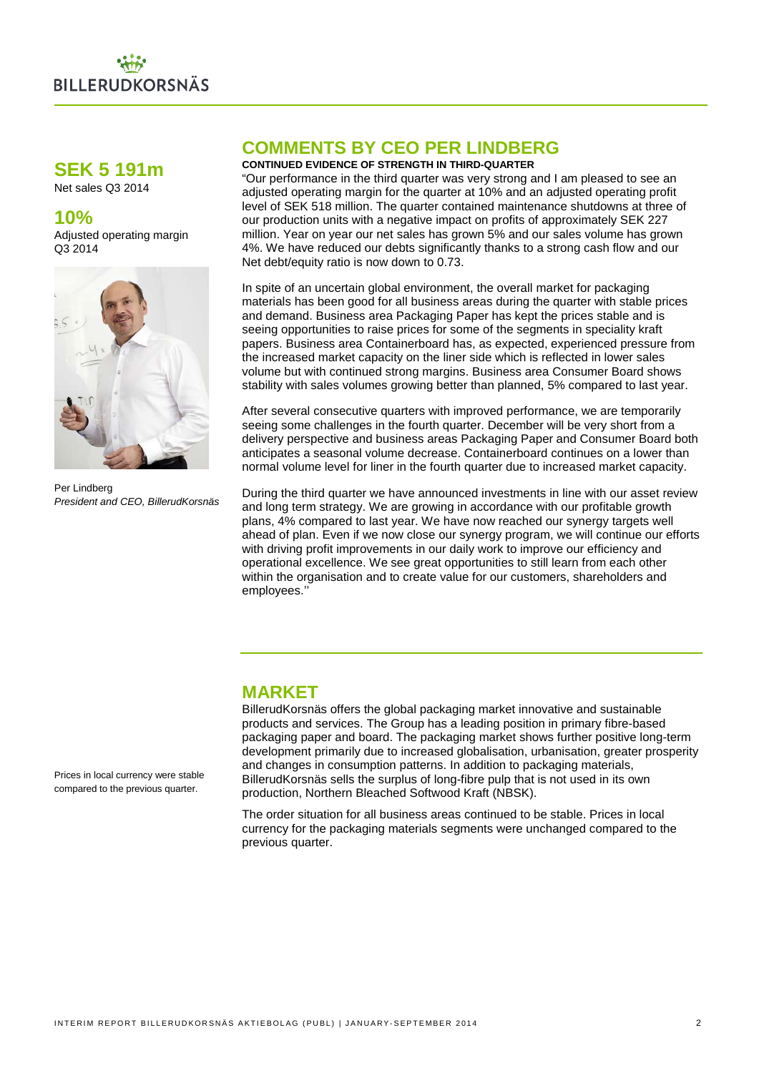

## **SEK 5 191m**

Net sales Q3 2014

## **10%**

Adjusted operating margin Q3 2014



Per Lindberg *President and CEO, BillerudKorsnäs*

## **COMMENTS BY CEO PER LINDBERG**

#### **CONTINUED EVIDENCE OF STRENGTH IN THIRD-QUARTER**

"Our performance in the third quarter was very strong and I am pleased to see an adjusted operating margin for the quarter at 10% and an adjusted operating profit level of SEK 518 million. The quarter contained maintenance shutdowns at three of our production units with a negative impact on profits of approximately SEK 227 million. Year on year our net sales has grown 5% and our sales volume has grown 4%. We have reduced our debts significantly thanks to a strong cash flow and our Net debt/equity ratio is now down to 0.73.

In spite of an uncertain global environment, the overall market for packaging materials has been good for all business areas during the quarter with stable prices and demand. Business area Packaging Paper has kept the prices stable and is seeing opportunities to raise prices for some of the segments in speciality kraft papers. Business area Containerboard has, as expected, experienced pressure from the increased market capacity on the liner side which is reflected in lower sales volume but with continued strong margins. Business area Consumer Board shows stability with sales volumes growing better than planned, 5% compared to last year.

After several consecutive quarters with improved performance, we are temporarily seeing some challenges in the fourth quarter. December will be very short from a delivery perspective and business areas Packaging Paper and Consumer Board both anticipates a seasonal volume decrease. Containerboard continues on a lower than normal volume level for liner in the fourth quarter due to increased market capacity.

During the third quarter we have announced investments in line with our asset review and long term strategy. We are growing in accordance with our profitable growth plans, 4% compared to last year. We have now reached our synergy targets well ahead of plan. Even if we now close our synergy program, we will continue our efforts with driving profit improvements in our daily work to improve our efficiency and operational excellence. We see great opportunities to still learn from each other within the organisation and to create value for our customers, shareholders and employees.''

## **MARKET**

BillerudKorsnäs offers the global packaging market innovative and sustainable products and services. The Group has a leading position in primary fibre-based packaging paper and board. The packaging market shows further positive long-term development primarily due to increased globalisation, urbanisation, greater prosperity and changes in consumption patterns. In addition to packaging materials, BillerudKorsnäs sells the surplus of long-fibre pulp that is not used in its own production, Northern Bleached Softwood Kraft (NBSK).

The order situation for all business areas continued to be stable. Prices in local currency for the packaging materials segments were unchanged compared to the previous quarter.

Prices in local currency were stable compared to the previous quarter.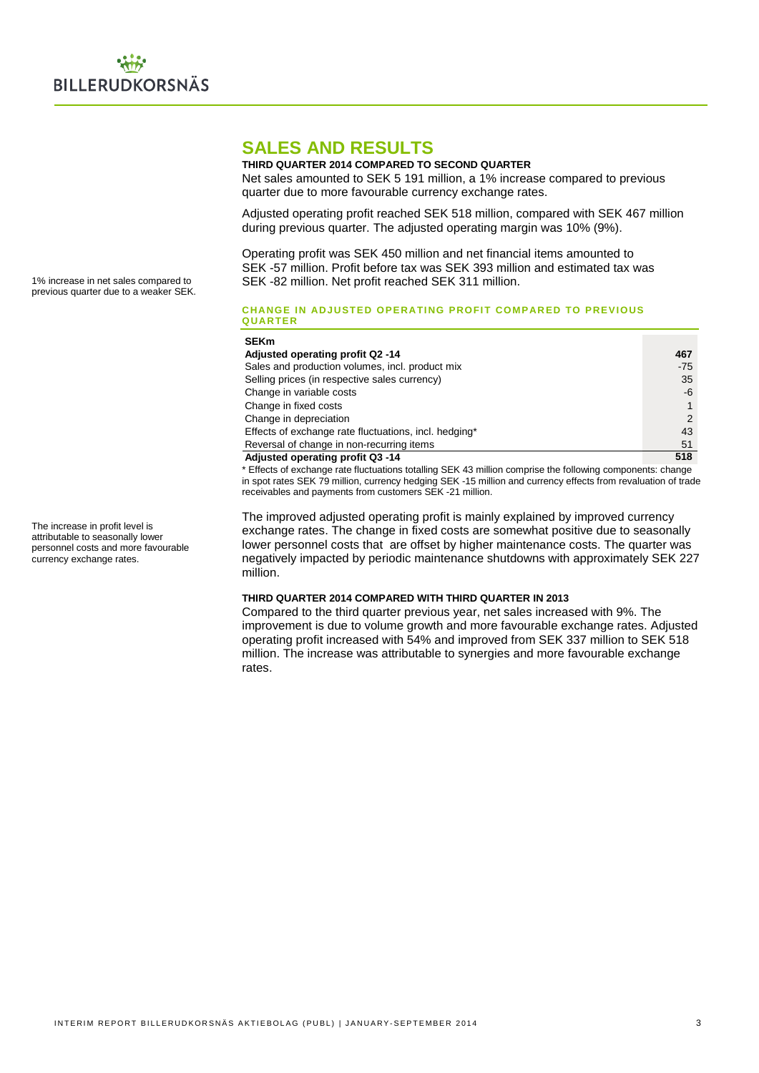## **SALES AND RESULTS**

#### **THIRD QUARTER 2014 COMPARED TO SECOND QUARTER** Net sales amounted to SEK 5 191 million, a 1% increase compared to previous quarter due to more favourable currency exchange rates.

Adjusted operating profit reached SEK 518 million, compared with SEK 467 million during previous quarter. The adjusted operating margin was 10% (9%).

Operating profit was SEK 450 million and net financial items amounted to SEK -57 million. Profit before tax was SEK 393 million and estimated tax was SEK -82 million. Net profit reached SEK 311 million.

#### **CHANGE IN ADJUSTED OPERATING PROFIT COMPARED TO PREVIOUS QUARTER**

| ---------                                             |       |
|-------------------------------------------------------|-------|
| <b>SEKm</b>                                           |       |
| Adjusted operating profit Q2 -14                      | 467   |
| Sales and production volumes, incl. product mix       | $-75$ |
| Selling prices (in respective sales currency)         | 35    |
| Change in variable costs                              | -6    |
| Change in fixed costs                                 |       |
| Change in depreciation                                | 2     |
| Effects of exchange rate fluctuations, incl. hedging* | 43    |
| Reversal of change in non-recurring items             | 51    |
| Adjusted operating profit Q3 -14                      | 518   |

\* Effects of exchange rate fluctuations totalling SEK 43 million comprise the following components: change in spot rates SEK 79 million, currency hedging SEK -15 million and currency effects from revaluation of trade receivables and payments from customers SEK -21 million.

The improved adjusted operating profit is mainly explained by improved currency exchange rates. The change in fixed costs are somewhat positive due to seasonally lower personnel costs that are offset by higher maintenance costs. The quarter was negatively impacted by periodic maintenance shutdowns with approximately SEK 227 million.

#### **THIRD QUARTER 2014 COMPARED WITH THIRD QUARTER IN 2013**

Compared to the third quarter previous year, net sales increased with 9%. The improvement is due to volume growth and more favourable exchange rates. Adjusted operating profit increased with 54% and improved from SEK 337 million to SEK 518 million. The increase was attributable to synergies and more favourable exchange rates.

1% increase in net sales compared to previous quarter due to a weaker SEK.

The increase in profit level is attributable to seasonally lower personnel costs and more favourable currency exchange rates.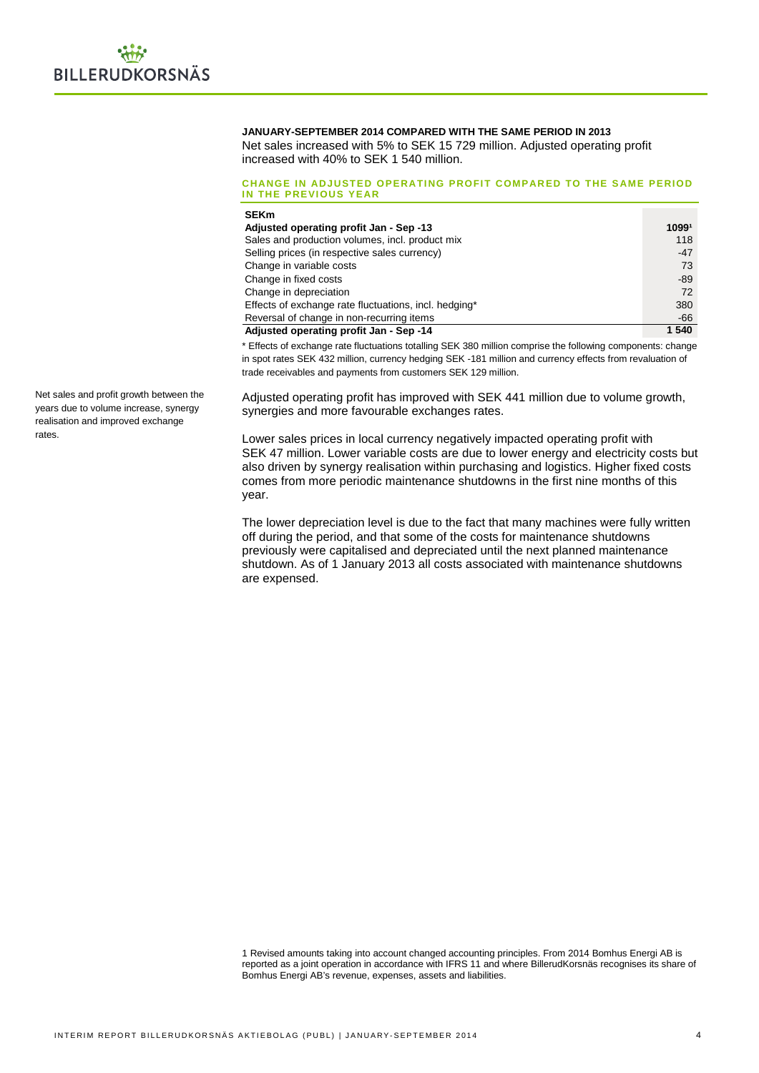#### **JANUARY-SEPTEMBER 2014 COMPARED WITH THE SAME PERIOD IN 2013**

Net sales increased with 5% to SEK 15 729 million. Adjusted operating profit increased with 40% to SEK 1 540 million.

#### **CHANGE IN ADJUSTED OPERATING PROFIT COMPARED TO THE SAME PERIOD IN THE PREVIOUS YEAR**

| <b>SEKm</b>                                           |       |
|-------------------------------------------------------|-------|
| Adjusted operating profit Jan - Sep -13               | 10991 |
| Sales and production volumes, incl. product mix       | 118   |
| Selling prices (in respective sales currency)         | $-47$ |
| Change in variable costs                              | 73    |
| Change in fixed costs                                 | -89   |
| Change in depreciation                                | 72    |
| Effects of exchange rate fluctuations, incl. hedging* | 380   |
| Reversal of change in non-recurring items             | -66   |
| Adjusted operating profit Jan - Sep -14               | 1 540 |

\* Effects of exchange rate fluctuations totalling SEK 380 million comprise the following components: change in spot rates SEK 432 million, currency hedging SEK -181 million and currency effects from revaluation of trade receivables and payments from customers SEK 129 million.

Adjusted operating profit has improved with SEK 441 million due to volume growth, synergies and more favourable exchanges rates.

Lower sales prices in local currency negatively impacted operating profit with SEK 47 million. Lower variable costs are due to lower energy and electricity costs but also driven by synergy realisation within purchasing and logistics. Higher fixed costs comes from more periodic maintenance shutdowns in the first nine months of this year.

The lower depreciation level is due to the fact that many machines were fully written off during the period, and that some of the costs for maintenance shutdowns previously were capitalised and depreciated until the next planned maintenance shutdown. As of 1 January 2013 all costs associated with maintenance shutdowns are expensed.

1 Revised amounts taking into account changed accounting principles. From 2014 Bomhus Energi AB is reported as a joint operation in accordance with IFRS 11 and where BillerudKorsnäs recognises its share of Bomhus Energi AB's revenue, expenses, assets and liabilities.

Net sales and profit growth between the years due to volume increase, synergy realisation and improved exchange rates.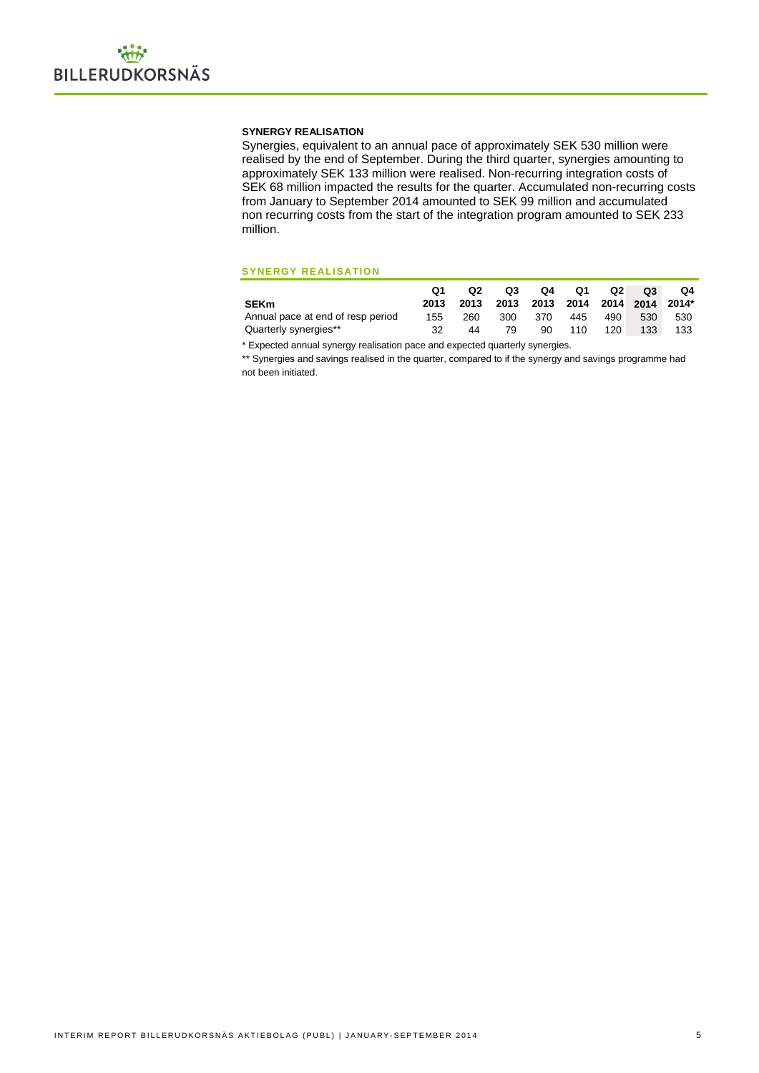#### **SYNERGY REALISATION**

Synergies, equivalent to an annual pace of approximately SEK 530 million were realised by the end of September. During the third quarter, synergies amounting to approximately SEK 133 million were realised. Non-recurring integration costs of SEK 68 million impacted the results for the quarter. Accumulated non-recurring costs from January to September 2014 amounted to SEK 99 million and accumulated non recurring costs from the start of the integration program amounted to SEK 233 million.

#### **SYNERGY REALISATION**

|                                   |      | Q <sub>2</sub>                      | Q3  |      | Q4 Q1 Q2 |     | O <sub>3</sub> | Q4  |
|-----------------------------------|------|-------------------------------------|-----|------|----------|-----|----------------|-----|
| <b>SEKm</b>                       | 2013 | 2013 2013 2013 2014 2014 2014 2014* |     |      |          |     |                |     |
| Annual pace at end of resp period | 155  | 260                                 | 300 | -370 | 445      | 490 | 530            | 530 |
| Quarterly synergies**             | 32   | 44                                  | 79  | 90   | 110      | 120 | 133            | 133 |

\* Expected annual synergy realisation pace and expected quarterly synergies.

\*\* Synergies and savings realised in the quarter, compared to if the synergy and savings programme had not been initiated.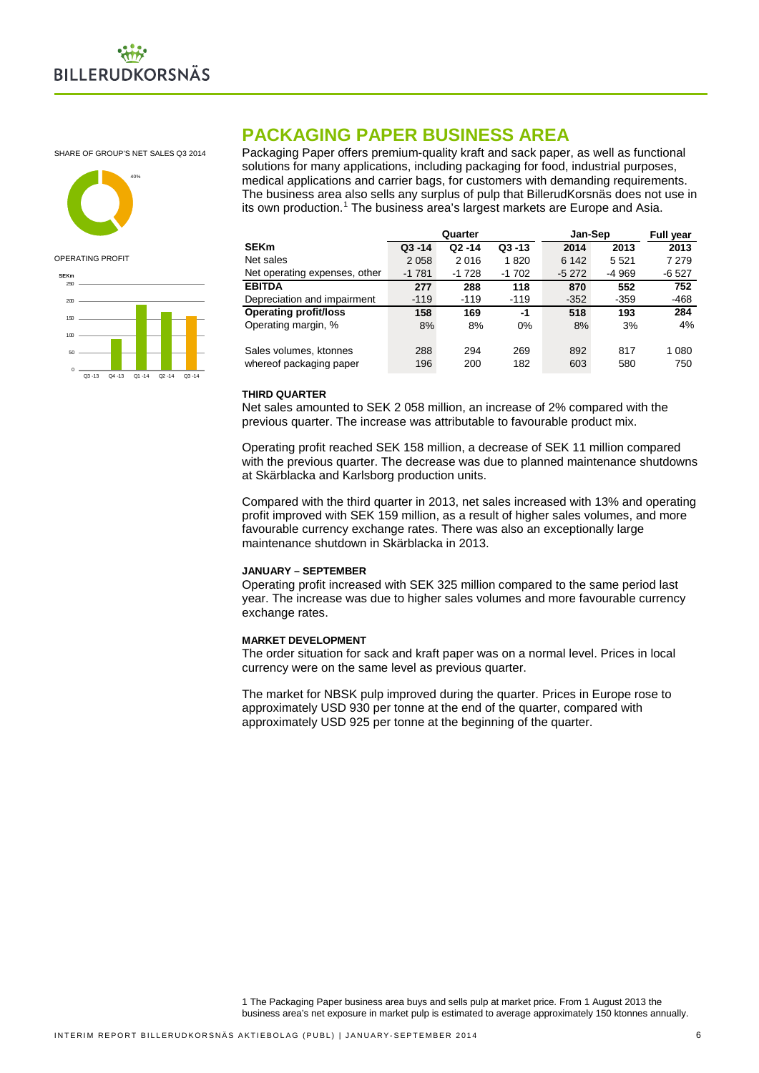

SHARE OF GROUP'S NET SALES Q3 2014



#### OPERATING PROFIT



## **PACKAGING PAPER BUSINESS AREA**

Packaging Paper offers premium-quality kraft and sack paper, as well as functional solutions for many applications, including packaging for food, industrial purposes, medical applications and carrier bags, for customers with demanding requirements. The business area also sells any surplus of pulp that BillerudKorsnäs does not use in its own production.<sup>[1](#page-5-0)</sup> The business area's largest markets are Europe and Asia.

|                               |           | Quarter   |           | Jan-Sep |         | <b>Full year</b> |
|-------------------------------|-----------|-----------|-----------|---------|---------|------------------|
| <b>SEKm</b>                   | $Q3 - 14$ | $Q2 - 14$ | $Q3 - 13$ | 2014    | 2013    | 2013             |
| Net sales                     | 2 0 5 8   | 2016      | 1820      | 6 1 4 2 | 5 5 2 1 | 7 2 7 9          |
| Net operating expenses, other | $-1781$   | $-1728$   | $-1702$   | $-5272$ | -4 969  | -6 527           |
| <b>EBITDA</b>                 | 277       | 288       | 118       | 870     | 552     | 752              |
| Depreciation and impairment   | $-119$    | $-119$    | $-119$    | $-352$  | $-359$  | $-468$           |
| <b>Operating profit/loss</b>  | 158       | 169       | -1        | 518     | 193     | 284              |
| Operating margin, %           | 8%        | 8%        | 0%        | 8%      | 3%      | 4%               |
| Sales volumes, ktonnes        | 288       | 294       | 269       | 892     | 817     | 1 0 8 0          |
| whereof packaging paper       | 196       | 200       | 182       | 603     | 580     | 750              |

#### **THIRD QUARTER**

Net sales amounted to SEK 2 058 million, an increase of 2% compared with the previous quarter. The increase was attributable to favourable product mix.

Operating profit reached SEK 158 million, a decrease of SEK 11 million compared with the previous quarter. The decrease was due to planned maintenance shutdowns at Skärblacka and Karlsborg production units.

Compared with the third quarter in 2013, net sales increased with 13% and operating profit improved with SEK 159 million, as a result of higher sales volumes, and more favourable currency exchange rates. There was also an exceptionally large maintenance shutdown in Skärblacka in 2013.

#### **JANUARY – SEPTEMBER**

Operating profit increased with SEK 325 million compared to the same period last year. The increase was due to higher sales volumes and more favourable currency exchange rates.

#### **MARKET DEVELOPMENT**

The order situation for sack and kraft paper was on a normal level. Prices in local currency were on the same level as previous quarter.

<span id="page-5-0"></span>The market for NBSK pulp improved during the quarter. Prices in Europe rose to approximately USD 930 per tonne at the end of the quarter, compared with approximately USD 925 per tonne at the beginning of the quarter.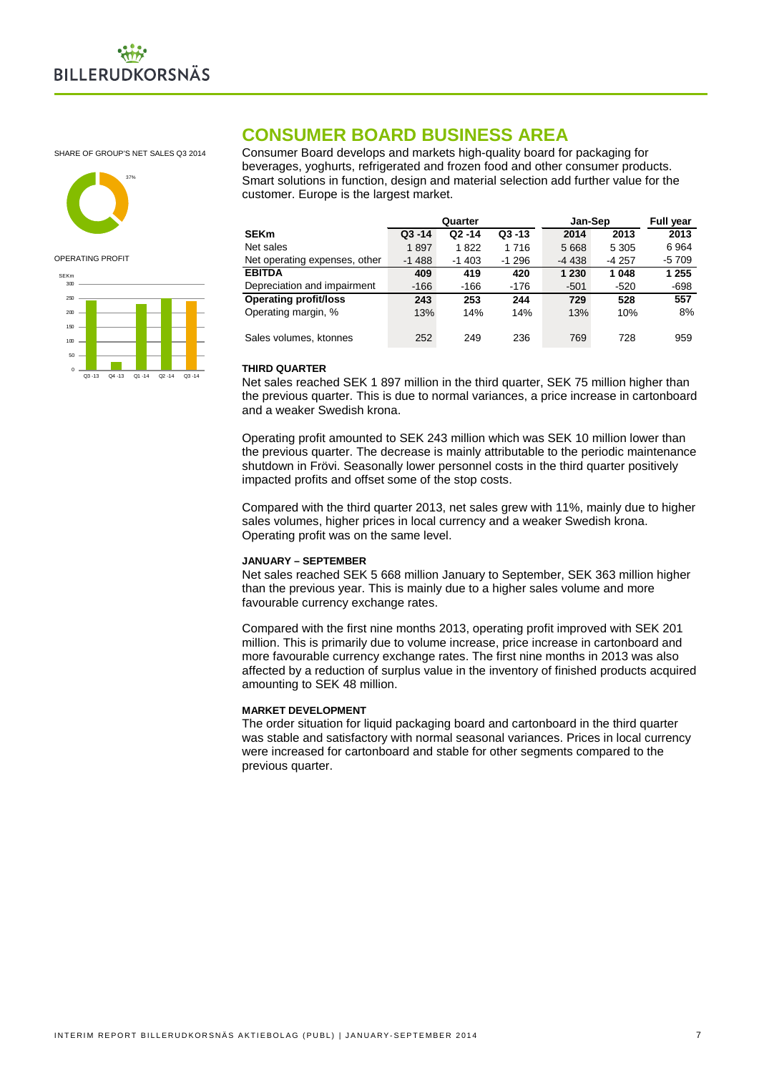

SHARE OF GROUP'S NET SALES Q3 2014



#### OPERATING PROFIT



## **CONSUMER BOARD BUSINESS AREA**

Consumer Board develops and markets high-quality board for packaging for beverages, yoghurts, refrigerated and frozen food and other consumer products. Smart solutions in function, design and material selection add further value for the customer. Europe is the largest market.

|                               | Quarter   |           |           | Jan-Sep | <b>Full year</b> |         |
|-------------------------------|-----------|-----------|-----------|---------|------------------|---------|
| <b>SEKm</b>                   | $Q3 - 14$ | $Q2 - 14$ | $Q3 - 13$ | 2014    | 2013             | 2013    |
| Net sales                     | 1897      | 1822      | 1716      | 5 6 6 8 | 5 3 0 5          | 6964    |
| Net operating expenses, other | $-1488$   | $-1403$   | $-1296$   | $-4438$ | $-4257$          | $-5709$ |
| <b>EBITDA</b>                 | 409       | 419       | 420       | 1 2 3 0 | 1 048            | 1 255   |
| Depreciation and impairment   | $-166$    | $-166$    | -176      | $-501$  | $-520$           | -698    |
| <b>Operating profit/loss</b>  | 243       | 253       | 244       | 729     | 528              | 557     |
| Operating margin, %           | 13%       | 14%       | 14%       | 13%     | 10%              | 8%      |
| Sales volumes, ktonnes        | 252       | 249       | 236       | 769     | 728              | 959     |

#### **THIRD QUARTER**

Net sales reached SEK 1 897 million in the third quarter, SEK 75 million higher than the previous quarter. This is due to normal variances, a price increase in cartonboard and a weaker Swedish krona.

Operating profit amounted to SEK 243 million which was SEK 10 million lower than the previous quarter. The decrease is mainly attributable to the periodic maintenance shutdown in Frövi. Seasonally lower personnel costs in the third quarter positively impacted profits and offset some of the stop costs.

Compared with the third quarter 2013, net sales grew with 11%, mainly due to higher sales volumes, higher prices in local currency and a weaker Swedish krona. Operating profit was on the same level.

#### **JANUARY – SEPTEMBER**

Net sales reached SEK 5 668 million January to September, SEK 363 million higher than the previous year. This is mainly due to a higher sales volume and more favourable currency exchange rates.

Compared with the first nine months 2013, operating profit improved with SEK 201 million. This is primarily due to volume increase, price increase in cartonboard and more favourable currency exchange rates. The first nine months in 2013 was also affected by a reduction of surplus value in the inventory of finished products acquired amounting to SEK 48 million.

#### **MARKET DEVELOPMENT**

The order situation for liquid packaging board and cartonboard in the third quarter was stable and satisfactory with normal seasonal variances. Prices in local currency were increased for cartonboard and stable for other segments compared to the previous quarter.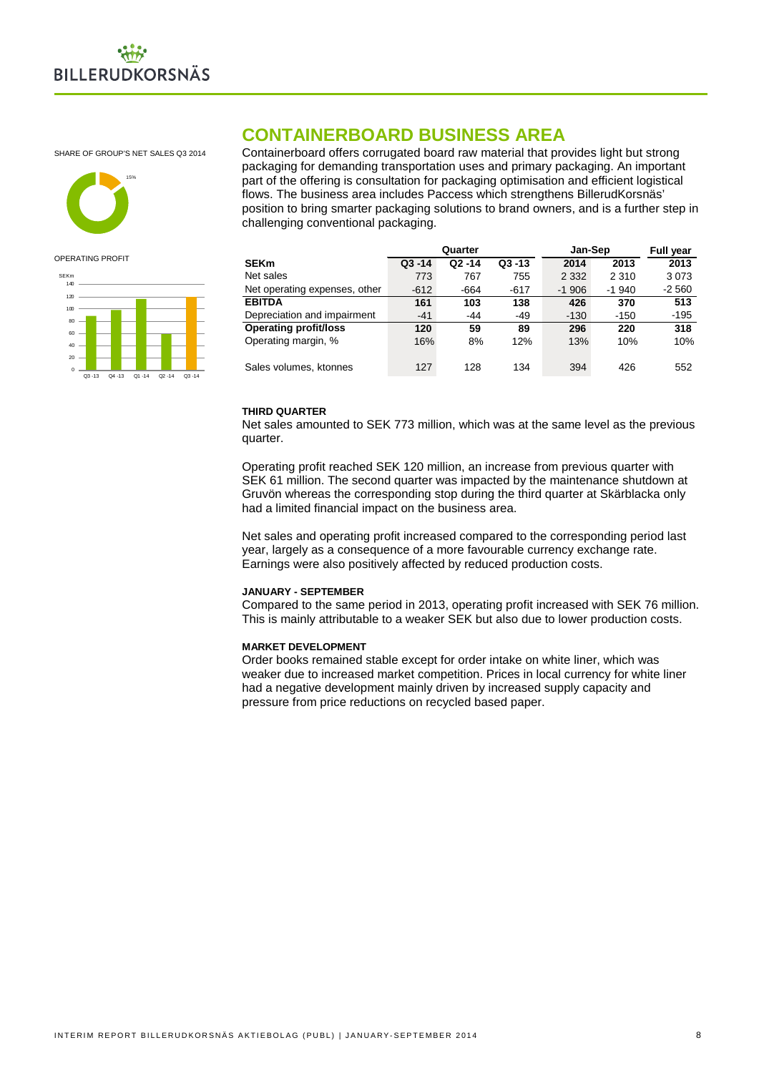

SHARE OF GROUP'S NET SALES Q3 2014



#### OPERATING PROFIT



**CONTAINERBOARD BUSINESS AREA**

Containerboard offers corrugated board raw material that provides light but strong packaging for demanding transportation uses and primary packaging. An important part of the offering is consultation for packaging optimisation and efficient logistical flows. The business area includes Paccess which strengthens BillerudKorsnäs' position to bring smarter packaging solutions to brand owners, and is a further step in challenging conventional packaging.

|                               | Quarter   |           |           | Jan-Sep | <b>Full year</b> |         |
|-------------------------------|-----------|-----------|-----------|---------|------------------|---------|
| SEKm                          | $Q3 - 14$ | $Q2 - 14$ | $Q3 - 13$ | 2014    | 2013             | 2013    |
| Net sales                     | 773       | 767       | 755       | 2 3 3 2 | 2 3 1 0          | 3073    |
| Net operating expenses, other | $-612$    | $-664$    | -617      | $-1906$ | $-1940$          | $-2560$ |
| <b>EBITDA</b>                 | 161       | 103       | 138       | 426     | 370              | 513     |
| Depreciation and impairment   | $-41$     | $-44$     | $-49$     | $-130$  | $-150$           | $-195$  |
| <b>Operating profit/loss</b>  | 120       | 59        | 89        | 296     | 220              | 318     |
| Operating margin, %           | 16%       | 8%        | 12%       | 13%     | 10%              | 10%     |
| Sales volumes, ktonnes        | 127       | 128       | 134       | 394     | 426              | 552     |

#### **THIRD QUARTER**

Net sales amounted to SEK 773 million, which was at the same level as the previous quarter.

Operating profit reached SEK 120 million, an increase from previous quarter with SEK 61 million. The second quarter was impacted by the maintenance shutdown at Gruvön whereas the corresponding stop during the third quarter at Skärblacka only had a limited financial impact on the business area.

Net sales and operating profit increased compared to the corresponding period last year, largely as a consequence of a more favourable currency exchange rate. Earnings were also positively affected by reduced production costs.

#### **JANUARY - SEPTEMBER**

Compared to the same period in 2013, operating profit increased with SEK 76 million. This is mainly attributable to a weaker SEK but also due to lower production costs.

#### **MARKET DEVELOPMENT**

Order books remained stable except for order intake on white liner, which was weaker due to increased market competition. Prices in local currency for white liner had a negative development mainly driven by increased supply capacity and pressure from price reductions on recycled based paper.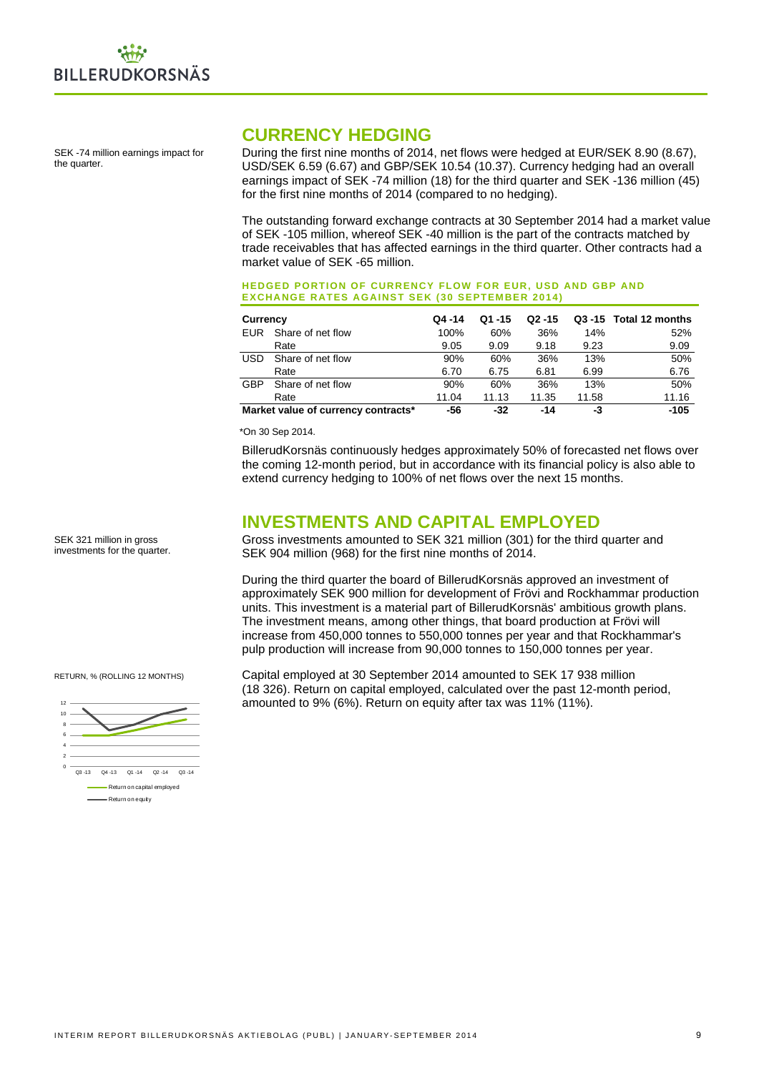

SEK -74 million earnings impact for the quarter.

## **CURRENCY HEDGING**

During the first nine months of 2014, net flows were hedged at EUR/SEK 8.90 (8.67), USD/SEK 6.59 (6.67) and GBP/SEK 10.54 (10.37). Currency hedging had an overall earnings impact of SEK -74 million (18) for the third quarter and SEK -136 million (45) for the first nine months of 2014 (compared to no hedging).

The outstanding forward exchange contracts at 30 September 2014 had a market value of SEK -105 million, whereof SEK -40 million is the part of the contracts matched by trade receivables that has affected earnings in the third quarter. Other contracts had a market value of SEK -65 million.

#### **HEDGED PORTION OF CURRENCY FLOW FOR EUR, USD AND GBP AND EXCHANGE RATES AGAINST SEK (30 SEPTEMBER 2014)**

| Currency |                                     | $Q4 - 14$ | $Q1 - 15$ | $Q2 - 15$ |       | Q3 -15 Total 12 months |
|----------|-------------------------------------|-----------|-----------|-----------|-------|------------------------|
| EUR      | Share of net flow                   | 100%      | 60%       | 36%       | 14%   | 52%                    |
|          | Rate                                | 9.05      | 9.09      | 9.18      | 9.23  | 9.09                   |
| USD      | Share of net flow                   | 90%       | 60%       | 36%       | 13%   | 50%                    |
|          | Rate                                | 6.70      | 6.75      | 6.81      | 6.99  | 6.76                   |
| GBP      | Share of net flow                   | 90%       | 60%       | 36%       | 13%   | 50%                    |
|          | Rate                                | 11.04     | 11.13     | 11.35     | 11.58 | 11.16                  |
|          | Market value of currency contracts* | -56       | -32       | -14       | -3    | $-105$                 |

\*On 30 Sep 2014.

BillerudKorsnäs continuously hedges approximately 50% of forecasted net flows over the coming 12-month period, but in accordance with its financial policy is also able to extend currency hedging to 100% of net flows over the next 15 months.

## **INVESTMENTS AND CAPITAL EMPLOYED**

Gross investments amounted to SEK 321 million (301) for the third quarter and SEK 904 million (968) for the first nine months of 2014.

During the third quarter the board of BillerudKorsnäs approved an investment of approximately SEK 900 million for development of Frövi and Rockhammar production units. This investment is a material part of BillerudKorsnäs' ambitious growth plans. The investment means, among other things, that board production at Frövi will increase from 450,000 tonnes to 550,000 tonnes per year and that Rockhammar's pulp production will increase from 90,000 tonnes to 150,000 tonnes per year.

RETURN, % (ROLLING 12 MONTHS)

SEK 321 million in gross investments for the quarter.



Capital employed at 30 September 2014 amounted to SEK 17 938 million (18 326). Return on capital employed, calculated over the past 12-month period, amounted to 9% (6%). Return on equity after tax was 11% (11%).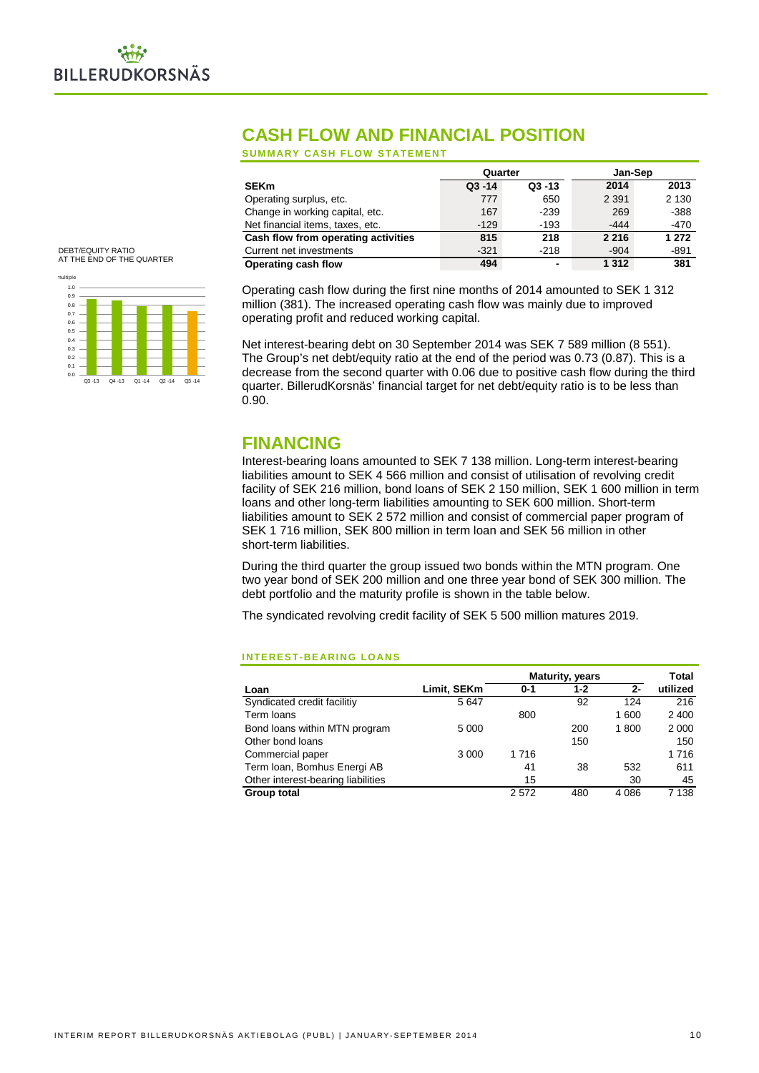

## **CASH FLOW AND FINANCIAL POSITION**

**SUMMARY CASH FLOW STATEMENT**

|                                     | Quarter   |                | Jan-Sep |         |
|-------------------------------------|-----------|----------------|---------|---------|
| <b>SEKm</b>                         | $Q3 - 14$ | $Q3 - 13$      | 2014    | 2013    |
| Operating surplus, etc.             | 777       | 650            | 2 3 9 1 | 2 1 3 0 |
| Change in working capital, etc.     | 167       | $-239$         | 269     | $-388$  |
| Net financial items, taxes, etc.    | $-129$    | $-193$         | $-444$  | $-470$  |
| Cash flow from operating activities | 815       | 218            | 2 2 1 6 | 1 272   |
| Current net investments             | $-321$    | $-218$         | $-904$  | -891    |
| Operating cash flow                 | 494       | $\blacksquare$ | 1 3 1 2 | 381     |

DEBT/EQUITY RATIO AT THE END OF THE QUARTER



Operating cash flow during the first nine months of 2014 amounted to SEK 1 312 million (381). The increased operating cash flow was mainly due to improved operating profit and reduced working capital.

Net interest-bearing debt on 30 September 2014 was SEK 7 589 million (8 551). The Group's net debt/equity ratio at the end of the period was 0.73 (0.87). This is a decrease from the second quarter with 0.06 due to positive cash flow during the third quarter. BillerudKorsnäs' financial target for net debt/equity ratio is to be less than 0.90.

## **FINANCING**

Interest-bearing loans amounted to SEK 7 138 million. Long-term interest-bearing liabilities amount to SEK 4 566 million and consist of utilisation of revolving credit facility of SEK 216 million, bond loans of SEK 2 150 million, SEK 1 600 million in term loans and other long-term liabilities amounting to SEK 600 million. Short-term liabilities amount to SEK 2 572 million and consist of commercial paper program of SEK 1 716 million, SEK 800 million in term loan and SEK 56 million in other short-term liabilities.

During the third quarter the group issued two bonds within the MTN program. One two year bond of SEK 200 million and one three year bond of SEK 300 million. The debt portfolio and the maturity profile is shown in the table below.

The syndicated revolving credit facility of SEK 5 500 million matures 2019.

#### **INTEREST-BEARING LOANS**

|                                    |             | <b>Maturity, years</b> | Total |         |          |
|------------------------------------|-------------|------------------------|-------|---------|----------|
| Loan                               | Limit, SEKm | $0 - 1$                | 1-2   | $2-$    | utilized |
| Syndicated credit facilitiy        | 5647        |                        | 92    | 124     | 216      |
| Term loans                         |             | 800                    |       | 1 600   | 2 4 0 0  |
| Bond loans within MTN program      | 5 0 0 0     |                        | 200   | 1800    | 2 0 0 0  |
| Other bond loans                   |             |                        | 150   |         | 150      |
| Commercial paper                   | 3 0 0 0     | 1716                   |       |         | 1716     |
| Term Ioan, Bomhus Energi AB        |             | 41                     | 38    | 532     | 611      |
| Other interest-bearing liabilities |             | 15                     |       | 30      | 45       |
| Group total                        |             | 2572                   | 480   | 4 0 8 6 | 7 138    |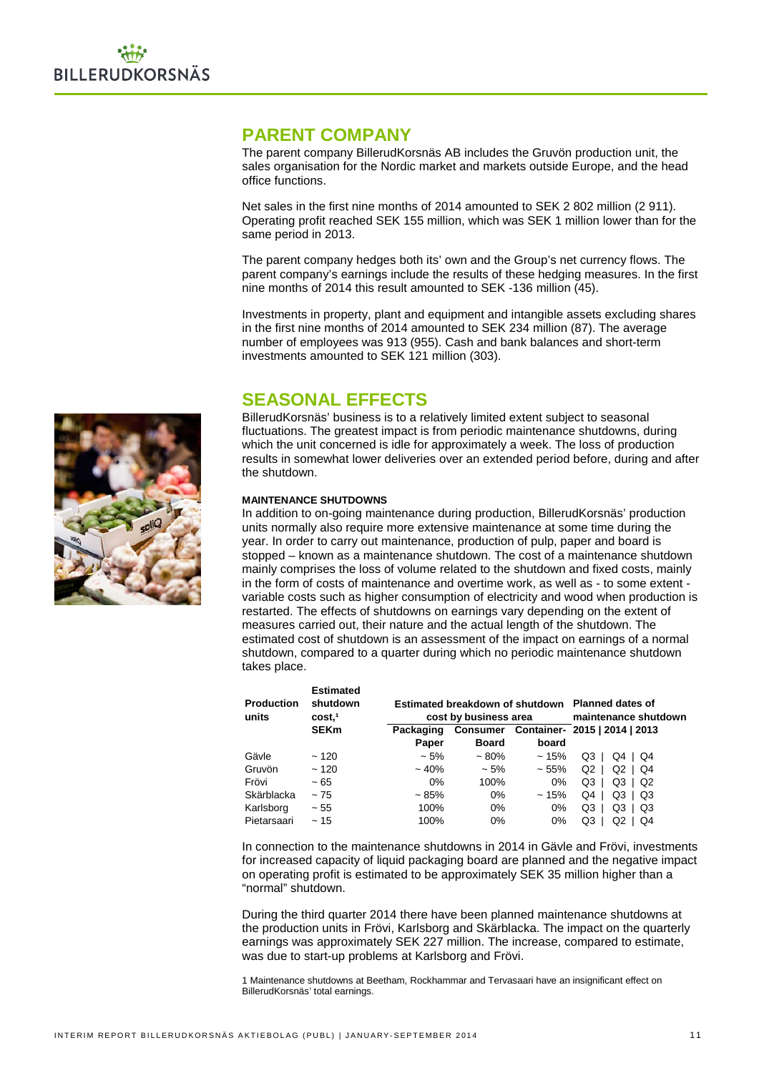## **PARENT COMPANY**

The parent company BillerudKorsnäs AB includes the Gruvön production unit, the sales organisation for the Nordic market and markets outside Europe, and the head office functions.

Net sales in the first nine months of 2014 amounted to SEK 2 802 million (2 911). Operating profit reached SEK 155 million, which was SEK 1 million lower than for the same period in 2013.

The parent company hedges both its' own and the Group's net currency flows. The parent company's earnings include the results of these hedging measures. In the first nine months of 2014 this result amounted to SEK -136 million (45).

Investments in property, plant and equipment and intangible assets excluding shares in the first nine months of 2014 amounted to SEK 234 million (87). The average number of employees was 913 (955). Cash and bank balances and short-term investments amounted to SEK 121 million (303).

## **SEASONAL EFFECTS**

BillerudKorsnäs' business is to a relatively limited extent subject to seasonal fluctuations. The greatest impact is from periodic maintenance shutdowns, during which the unit concerned is idle for approximately a week. The loss of production results in somewhat lower deliveries over an extended period before, during and after the shutdown.

#### **MAINTENANCE SHUTDOWNS**

In addition to on-going maintenance during production, BillerudKorsnäs' production units normally also require more extensive maintenance at some time during the year. In order to carry out maintenance, production of pulp, paper and board is stopped – known as a maintenance shutdown. The cost of a maintenance shutdown mainly comprises the loss of volume related to the shutdown and fixed costs, mainly in the form of costs of maintenance and overtime work, as well as - to some extent variable costs such as higher consumption of electricity and wood when production is restarted. The effects of shutdowns on earnings vary depending on the extent of measures carried out, their nature and the actual length of the shutdown. The estimated cost of shutdown is an assessment of the impact on earnings of a normal shutdown, compared to a quarter during which no periodic maintenance shutdown takes place.

| <b>Production</b><br>units | <b>Estimated</b><br>shutdown<br>cost. <sup>1</sup> |           | cost by business area | Estimated breakdown of shutdown Planned dates of<br>maintenance shutdown |                               |  |  |
|----------------------------|----------------------------------------------------|-----------|-----------------------|--------------------------------------------------------------------------|-------------------------------|--|--|
|                            | <b>SEKm</b>                                        | Packaging | Consumer              |                                                                          | Container- 2015   2014   2013 |  |  |
|                            |                                                    | Paper     | <b>Board</b>          | board                                                                    |                               |  |  |
| Gävle                      | ~120                                               | $~1.5\%$  | $~10\%$               | ~15%                                                                     | Q3<br>Q4<br>Q4                |  |  |
| Gruvön                     | ~120                                               | $~10\%$   | $~1.5\%$              | $~55\%$                                                                  | Q2<br>Q2<br>Q4                |  |  |
| Frövi                      | $~1$ – 65                                          | $0\%$     | 100%                  | $0\%$                                                                    | Q3<br>Q3<br>Q2                |  |  |
| Skärblacka                 | ~175                                               | $~1.85\%$ | $0\%$                 | ~15%                                                                     | Q4<br>Q3<br>Q3                |  |  |
| Karlsborg                  | $~1$ - 55                                          | 100%      | $0\%$                 | $0\%$                                                                    | Q3<br>Q3<br>Q3                |  |  |
| Pietarsaari                | ~15                                                | 100%      | $0\%$                 | 0%                                                                       | Q3<br>Q2<br>Q4                |  |  |

In connection to the maintenance shutdowns in 2014 in Gävle and Frövi, investments for increased capacity of liquid packaging board are planned and the negative impact on operating profit is estimated to be approximately SEK 35 million higher than a "normal" shutdown.

During the third quarter 2014 there have been planned maintenance shutdowns at the production units in Frövi, Karlsborg and Skärblacka. The impact on the quarterly earnings was approximately SEK 227 million. The increase, compared to estimate, was due to start-up problems at Karlsborg and Frövi.

1 Maintenance shutdowns at Beetham, Rockhammar and Tervasaari have an insignificant effect on BillerudKorsnäs' total earnings.

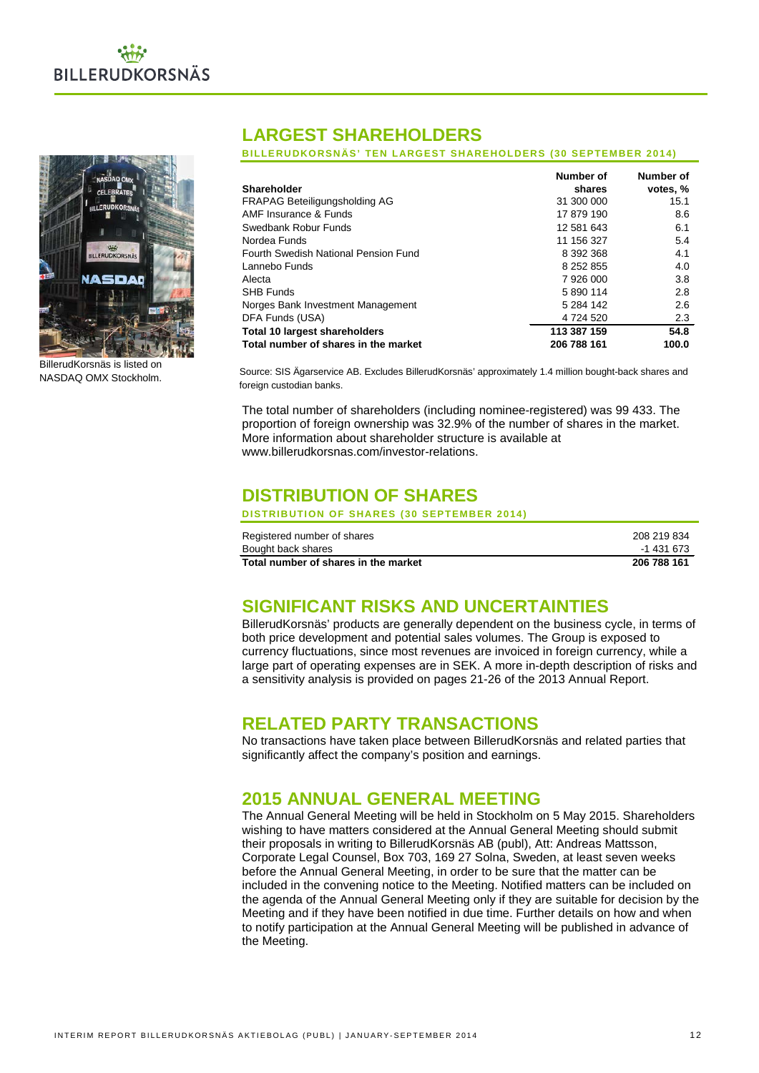



BillerudKorsnäs is listed on NASDAQ OMX Stockholm.

## **LARGEST SHAREHOLDERS**

**BILLERUDKORSNÄS' TEN LARGEST SHAREHOLDERS (30 SEPTEMBER 2014)**

|                                      | Number of     | Number of |
|--------------------------------------|---------------|-----------|
| Shareholder                          | shares        | votes, %  |
| <b>FRAPAG Beteiligungsholding AG</b> | 31 300 000    | 15.1      |
| AMF Insurance & Funds                | 17 879 190    | 8.6       |
| Swedbank Robur Funds                 | 12 581 643    | 6.1       |
| Nordea Funds                         | 11 156 327    | 5.4       |
| Fourth Swedish National Pension Fund | 8 392 368     | 4.1       |
| Lannebo Funds                        | 8 2 5 2 8 5 5 | 4.0       |
| Alecta                               | 7 926 000     | 3.8       |
| <b>SHB Funds</b>                     | 5 890 114     | 2.8       |
| Norges Bank Investment Management    | 5 284 142     | 2.6       |
| DFA Funds (USA)                      | 4 724 520     | 2.3       |
| <b>Total 10 largest shareholders</b> | 113 387 159   | 54.8      |
| Total number of shares in the market | 206 788 161   | 100.0     |

Source: SIS Ägarservice AB. Excludes BillerudKorsnäs' approximately 1.4 million bought-back shares and foreign custodian banks.

The total number of shareholders (including nominee-registered) was 99 433. The proportion of foreign ownership was 32.9% of the number of shares in the market. More information about shareholder structure is available at www.billerudkorsnas.com/investor-relations.

## **DISTRIBUTION OF SHARES**

**DISTRIBUTION OF SHARES (30 SEPTEMBER 2014)**

| Registered number of shares          | 208 219 834 |
|--------------------------------------|-------------|
| Bought back shares                   | -1 431 673  |
| Total number of shares in the market | 206 788 161 |

## **SIGNIFICANT RISKS AND UNCERTAINTIES**

BillerudKorsnäs' products are generally dependent on the business cycle, in terms of both price development and potential sales volumes. The Group is exposed to currency fluctuations, since most revenues are invoiced in foreign currency, while a large part of operating expenses are in SEK. A more in-depth description of risks and a sensitivity analysis is provided on pages 21-26 of the 2013 Annual Report.

## **RELATED PARTY TRANSACTIONS**

No transactions have taken place between BillerudKorsnäs and related parties that significantly affect the company's position and earnings.

## **2015 ANNUAL GENERAL MEETING**

The Annual General Meeting will be held in Stockholm on 5 May 2015. Shareholders wishing to have matters considered at the Annual General Meeting should submit their proposals in writing to BillerudKorsnäs AB (publ), Att: Andreas Mattsson, Corporate Legal Counsel, Box 703, 169 27 Solna, Sweden, at least seven weeks before the Annual General Meeting, in order to be sure that the matter can be included in the convening notice to the Meeting. Notified matters can be included on the agenda of the Annual General Meeting only if they are suitable for decision by the Meeting and if they have been notified in due time. Further details on how and when to notify participation at the Annual General Meeting will be published in advance of the Meeting.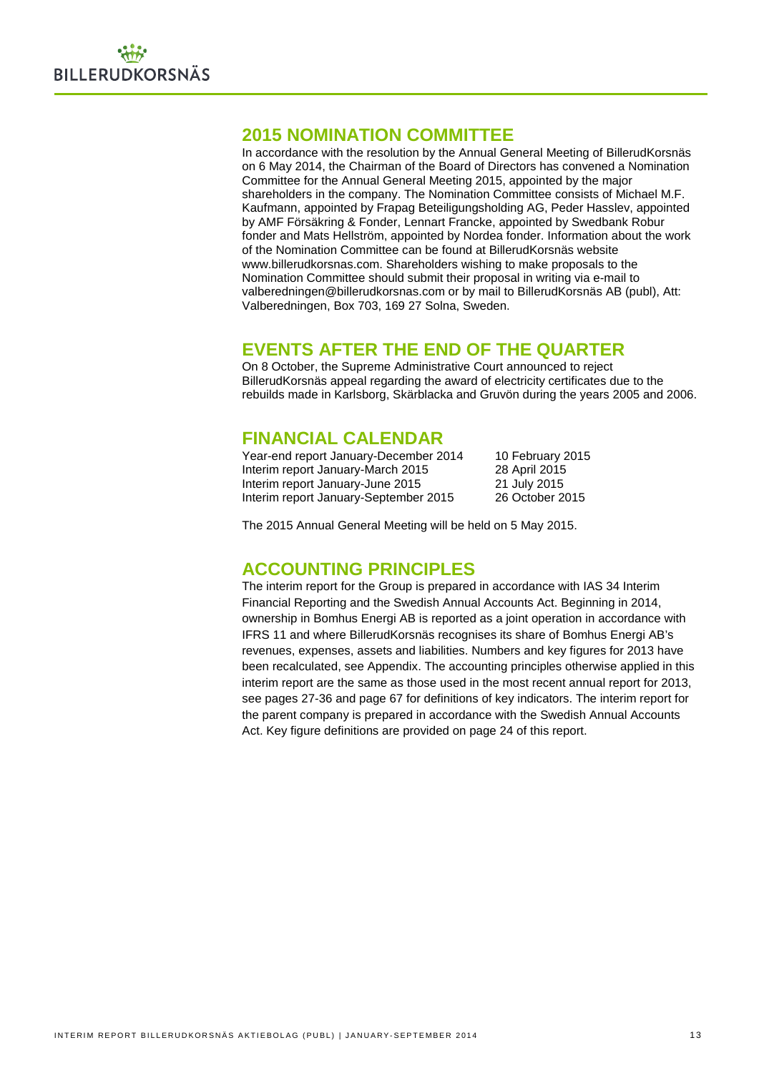## **2015 NOMINATION COMMITTEE**

In accordance with the resolution by the Annual General Meeting of BillerudKorsnäs on 6 May 2014, the Chairman of the Board of Directors has convened a Nomination Committee for the Annual General Meeting 2015, appointed by the major shareholders in the company. The Nomination Committee consists of Michael M.F. Kaufmann, appointed by Frapag Beteiligungsholding AG, Peder Hasslev, appointed by AMF Försäkring & Fonder, Lennart Francke, appointed by Swedbank Robur fonder and Mats Hellström, appointed by Nordea fonder. Information about the work of the Nomination Committee can be found at BillerudKorsnäs website www.billerudkorsnas.com. Shareholders wishing to make proposals to the Nomination Committee should submit their proposal in writing via e-mail to valberedningen@billerudkorsnas.com or by mail to BillerudKorsnäs AB (publ), Att: Valberedningen, Box 703, 169 27 Solna, Sweden.

## **EVENTS AFTER THE END OF THE QUARTER**

On 8 October, the Supreme Administrative Court announced to reject BillerudKorsnäs appeal regarding the award of electricity certificates due to the rebuilds made in Karlsborg, Skärblacka and Gruvön during the years 2005 and 2006.

## **FINANCIAL CALENDAR**

| Year-end report January-December 2014 | 10 February 2015 |
|---------------------------------------|------------------|
| Interim report January-March 2015     | 28 April 2015    |
| Interim report January-June 2015      | 21 July 2015     |
| Interim report January-September 2015 | 26 October 2015  |

The 2015 Annual General Meeting will be held on 5 May 2015.

## **ACCOUNTING PRINCIPLES**

The interim report for the Group is prepared in accordance with IAS 34 Interim Financial Reporting and the Swedish Annual Accounts Act. Beginning in 2014, ownership in Bomhus Energi AB is reported as a joint operation in accordance with IFRS 11 and where BillerudKorsnäs recognises its share of Bomhus Energi AB's revenues, expenses, assets and liabilities. Numbers and key figures for 2013 have been recalculated, see Appendix. The accounting principles otherwise applied in this interim report are the same as those used in the most recent annual report for 2013, see pages 27-36 and page 67 for definitions of key indicators. The interim report for the parent company is prepared in accordance with the Swedish Annual Accounts Act. Key figure definitions are provided on page 24 of this report.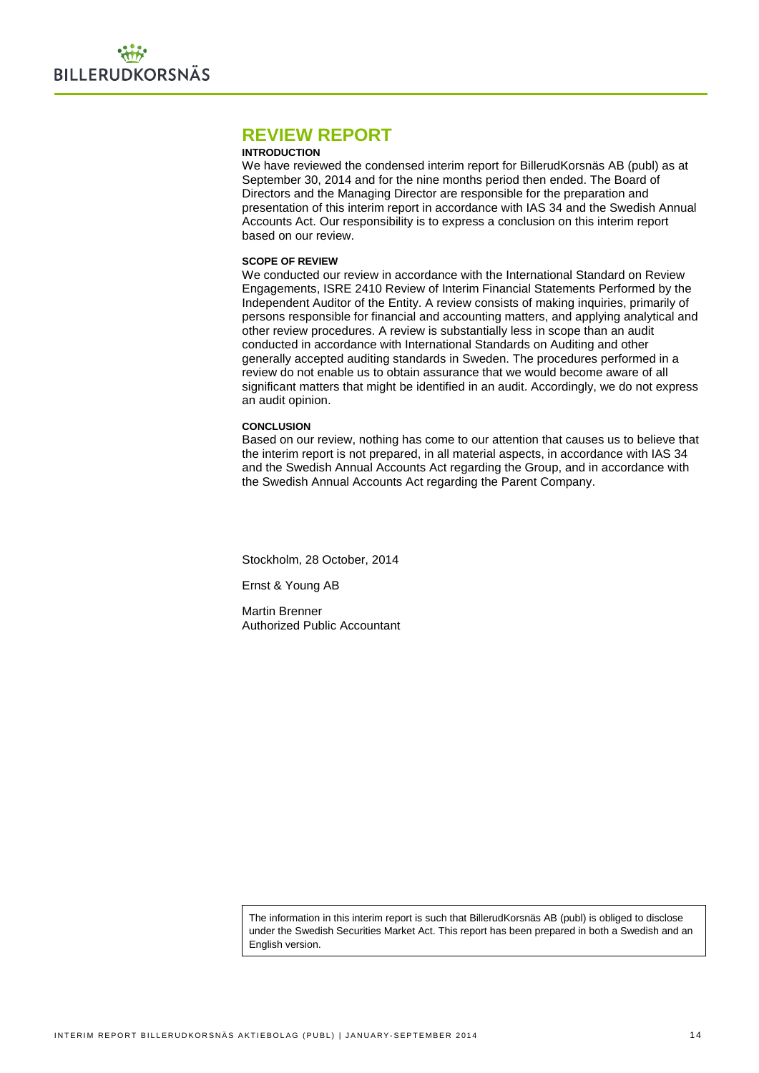## **REVIEW REPORT**

#### **INTRODUCTION**

We have reviewed the condensed interim report for BillerudKorsnäs AB (publ) as at September 30, 2014 and for the nine months period then ended. The Board of Directors and the Managing Director are responsible for the preparation and presentation of this interim report in accordance with IAS 34 and the Swedish Annual Accounts Act. Our responsibility is to express a conclusion on this interim report based on our review.

#### **SCOPE OF REVIEW**

We conducted our review in accordance with the International Standard on Review Engagements, ISRE 2410 Review of Interim Financial Statements Performed by the Independent Auditor of the Entity. A review consists of making inquiries, primarily of persons responsible for financial and accounting matters, and applying analytical and other review procedures. A review is substantially less in scope than an audit conducted in accordance with International Standards on Auditing and other generally accepted auditing standards in Sweden. The procedures performed in a review do not enable us to obtain assurance that we would become aware of all significant matters that might be identified in an audit. Accordingly, we do not express an audit opinion.

#### **CONCLUSION**

Based on our review, nothing has come to our attention that causes us to believe that the interim report is not prepared, in all material aspects, in accordance with IAS 34 and the Swedish Annual Accounts Act regarding the Group, and in accordance with the Swedish Annual Accounts Act regarding the Parent Company.

Stockholm, 28 October, 2014

Ernst & Young AB

Martin Brenner Authorized Public Accountant

The information in this interim report is such that BillerudKorsnäs AB (publ) is obliged to disclose under the Swedish Securities Market Act. This report has been prepared in both a Swedish and an English version.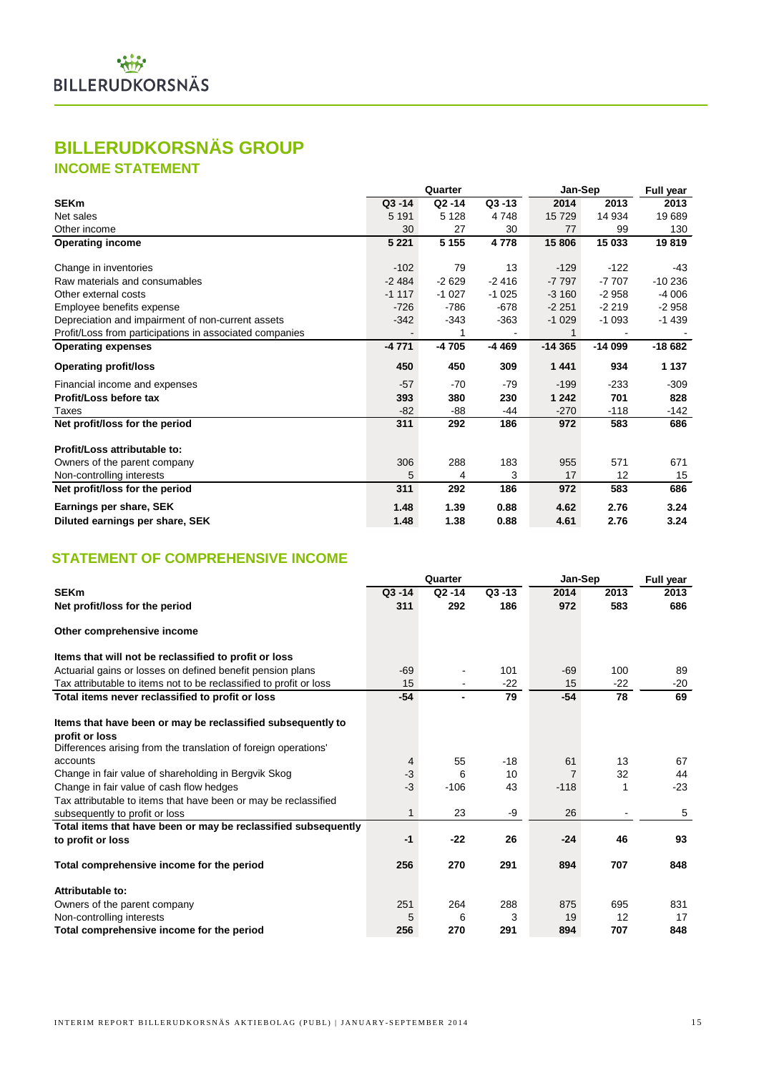## **BILLERUDKORSNÄS GROUP**

## **INCOME STATEMENT**

|                                                         |           | Quarter   |           | Jan-Sep  |          | <b>Full year</b> |
|---------------------------------------------------------|-----------|-----------|-----------|----------|----------|------------------|
| <b>SEKm</b>                                             | $Q3 - 14$ | $Q2 - 14$ | $Q3 - 13$ | 2014     | 2013     | 2013             |
| Net sales                                               | 5 1 9 1   | 5 1 2 8   | 4748      | 15 7 29  | 14 934   | 19689            |
| Other income                                            | 30        | 27        | 30        | 77       | 99       | 130              |
| <b>Operating income</b>                                 | 5 2 2 1   | 5 1 5 5   | 4778      | 15 806   | 15 033   | 19819            |
| Change in inventories                                   | $-102$    | 79        | 13        | $-129$   | $-122$   | $-43$            |
| Raw materials and consumables                           | $-2484$   | $-2629$   | $-2416$   | $-7797$  | $-7707$  | $-10236$         |
| Other external costs                                    | $-1117$   | $-1027$   | $-1025$   | $-3160$  | $-2958$  | $-4006$          |
| Employee benefits expense                               | $-726$    | $-786$    | $-678$    | $-2251$  | $-2219$  | $-2958$          |
| Depreciation and impairment of non-current assets       | $-342$    | $-343$    | $-363$    | $-1029$  | $-1093$  | $-1439$          |
| Profit/Loss from participations in associated companies |           |           |           |          |          |                  |
| <b>Operating expenses</b>                               | -4 771    | -4 705    | $-4469$   | $-14365$ | $-14099$ | $-18682$         |
| <b>Operating profit/loss</b>                            | 450       | 450       | 309       | 1441     | 934      | 1 1 3 7          |
| Financial income and expenses                           | $-57$     | $-70$     | $-79$     | $-199$   | $-233$   | $-309$           |
| Profit/Loss before tax                                  | 393       | 380       | 230       | 1 242    | 701      | 828              |
| Taxes                                                   | $-82$     | $-88$     | -44       | $-270$   | $-118$   | $-142$           |
| Net profit/loss for the period                          | 311       | 292       | 186       | 972      | 583      | 686              |
| Profit/Loss attributable to:                            |           |           |           |          |          |                  |
| Owners of the parent company                            | 306       | 288       | 183       | 955      | 571      | 671              |
| Non-controlling interests                               | 5         | 4         | 3         | 17       | 12       | 15               |
| Net profit/loss for the period                          | 311       | 292       | 186       | 972      | 583      | 686              |
| Earnings per share, SEK                                 | 1.48      | 1.39      | 0.88      | 4.62     | 2.76     | 3.24             |
| Diluted earnings per share, SEK                         | 1.48      | 1.38      | 0.88      | 4.61     | 2.76     | 3.24             |

## **STATEMENT OF COMPREHENSIVE INCOME**

|                                                                    |           | Quarter        |           | Jan-Sep        | Full year |       |
|--------------------------------------------------------------------|-----------|----------------|-----------|----------------|-----------|-------|
| <b>SEKm</b>                                                        | $Q3 - 14$ | $Q2 - 14$      | $Q3 - 13$ | 2014           | 2013      | 2013  |
| Net profit/loss for the period                                     | 311       | 292            | 186       | 972            | 583       | 686   |
| Other comprehensive income                                         |           |                |           |                |           |       |
| Items that will not be reclassified to profit or loss              |           |                |           |                |           |       |
| Actuarial gains or losses on defined benefit pension plans         | $-69$     |                | 101       | $-69$          | 100       | 89    |
| Tax attributable to items not to be reclassified to profit or loss | 15        |                | $-22$     | 15             | $-22$     | $-20$ |
| Total items never reclassified to profit or loss                   | $-54$     | $\blacksquare$ | 79        | $-54$          | 78        | 69    |
| Items that have been or may be reclassified subsequently to        |           |                |           |                |           |       |
| profit or loss                                                     |           |                |           |                |           |       |
| Differences arising from the translation of foreign operations'    |           |                |           |                |           |       |
| accounts                                                           | 4         | 55             | $-18$     | 61             | 13        | 67    |
| Change in fair value of shareholding in Bergvik Skog               | $-3$      | 6              | 10        | $\overline{7}$ | 32        | 44    |
| Change in fair value of cash flow hedges                           | $-3$      | $-106$         | 43        | $-118$         |           | $-23$ |
| Tax attributable to items that have been or may be reclassified    |           |                |           |                |           |       |
| subsequently to profit or loss                                     | 1         | 23             | -9        | 26             |           | 5     |
| Total items that have been or may be reclassified subsequently     |           |                |           |                |           |       |
| to profit or loss                                                  | $-1$      | $-22$          | 26        | $-24$          | 46        | 93    |
| Total comprehensive income for the period                          | 256       | 270            | 291       | 894            | 707       | 848   |
| Attributable to:                                                   |           |                |           |                |           |       |
| Owners of the parent company                                       | 251       | 264            | 288       | 875            | 695       | 831   |
| Non-controlling interests                                          | 5         | 6              | 3         | 19             | 12        | 17    |
| Total comprehensive income for the period                          | 256       | 270            | 291       | 894            | 707       | 848   |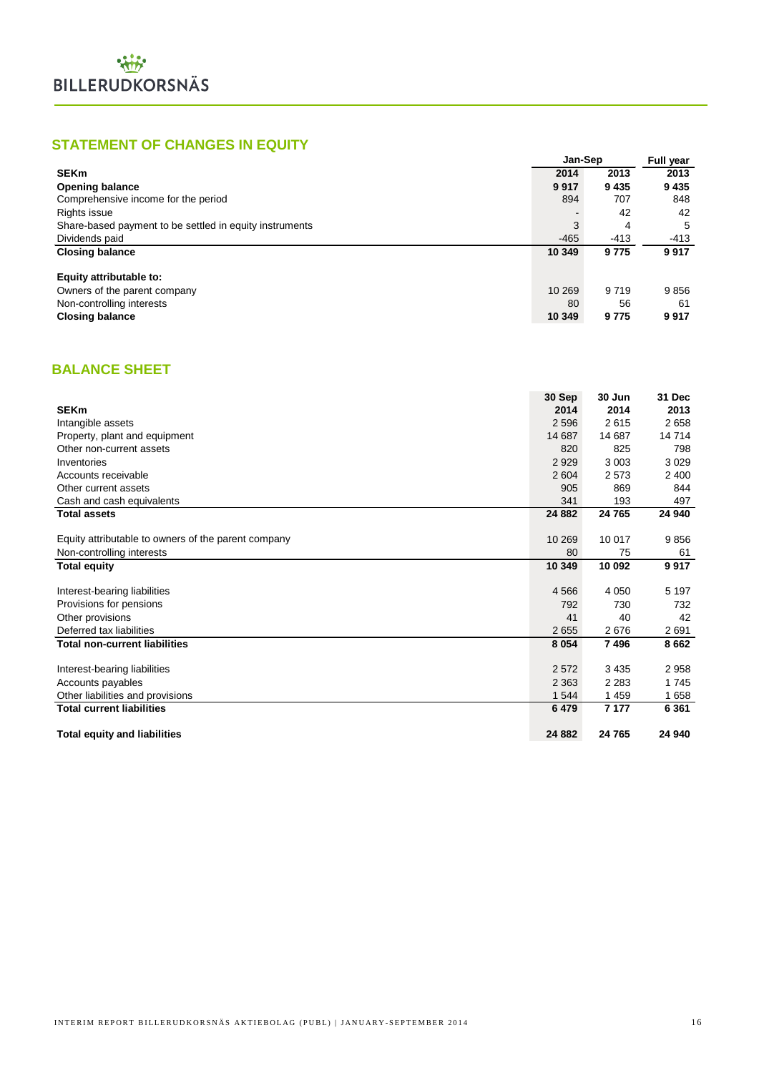## **STATEMENT OF CHANGES IN EQUITY**

|                                                         | Jan-Sep |         | Full year |
|---------------------------------------------------------|---------|---------|-----------|
| <b>SEKm</b>                                             | 2014    | 2013    | 2013      |
| <b>Opening balance</b>                                  | 9917    | 9 4 3 5 | 9435      |
| Comprehensive income for the period                     | 894     | 707     | 848       |
| Rights issue                                            |         | 42      | 42        |
| Share-based payment to be settled in equity instruments | 3       | 4       | 5         |
| Dividends paid                                          | $-465$  | $-413$  | $-413$    |
| <b>Closing balance</b>                                  | 10 349  | 9775    | 9917      |
| Equity attributable to:                                 |         |         |           |
| Owners of the parent company                            | 10 269  | 9 7 1 9 | 9856      |
| Non-controlling interests                               | 80      | 56      | 61        |
| <b>Closing balance</b>                                  | 10 349  | 9775    | 9917      |

## **BALANCE SHEET**

|                                                     | 30 Sep  | 30 Jun  | 31 Dec  |
|-----------------------------------------------------|---------|---------|---------|
| <b>SEKm</b>                                         | 2014    | 2014    | 2013    |
| Intangible assets                                   | 2 5 9 6 | 2615    | 2658    |
| Property, plant and equipment                       | 14 687  | 14 687  | 14714   |
| Other non-current assets                            | 820     | 825     | 798     |
| Inventories                                         | 2929    | 3 0 0 3 | 3 0 2 9 |
| Accounts receivable                                 | 2 604   | 2573    | 2 400   |
| Other current assets                                | 905     | 869     | 844     |
| Cash and cash equivalents                           | 341     | 193     | 497     |
| <b>Total assets</b>                                 | 24 8 82 | 24 765  | 24 940  |
| Equity attributable to owners of the parent company | 10 269  | 10 017  | 9856    |
| Non-controlling interests                           | 80      | 75      | 61      |
| <b>Total equity</b>                                 | 10 349  | 10 092  | 9917    |
|                                                     |         |         |         |
| Interest-bearing liabilities                        | 4 5 6 6 | 4 0 5 0 | 5 1 9 7 |
| Provisions for pensions                             | 792     | 730     | 732     |
| Other provisions                                    | 41      | 40      | 42      |
| Deferred tax liabilities                            | 2655    | 2676    | 2691    |
| <b>Total non-current liabilities</b>                | 8 0 5 4 | 7496    | 8662    |
| Interest-bearing liabilities                        | 2572    | 3435    | 2958    |
| Accounts payables                                   | 2 3 6 3 | 2 2 8 3 | 1745    |
| Other liabilities and provisions                    | 1 5 4 4 | 1459    | 1658    |
| <b>Total current liabilities</b>                    | 6479    | 7 1 7 7 | 6 3 6 1 |
| <b>Total equity and liabilities</b>                 | 24 882  | 24 765  | 24 940  |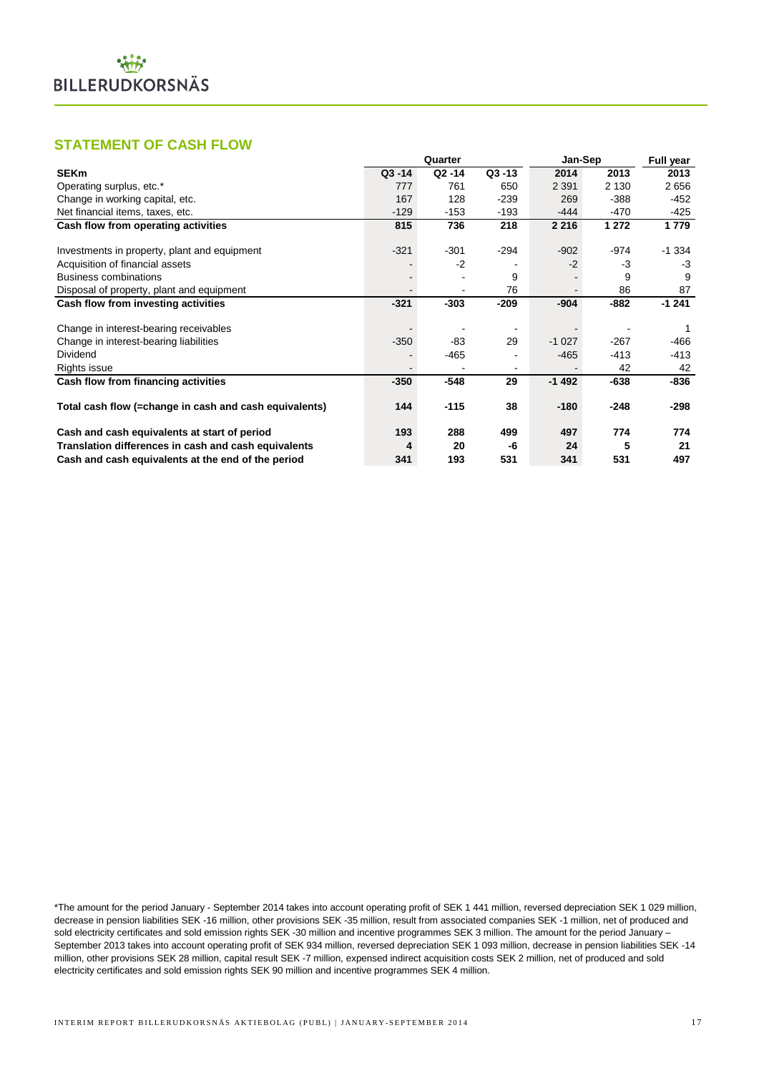## **STATEMENT OF CASH FLOW**

|                                                        | Quarter   |           | Jan-Sep   | <b>Full year</b> |         |         |
|--------------------------------------------------------|-----------|-----------|-----------|------------------|---------|---------|
| <b>SEKm</b>                                            | $Q3 - 14$ | $Q2 - 14$ | $Q3 - 13$ | 2014             | 2013    | 2013    |
| Operating surplus, etc.*                               | 777       | 761       | 650       | 2 3 9 1          | 2 1 3 0 | 2656    |
| Change in working capital, etc.                        | 167       | 128       | $-239$    | 269              | $-388$  | -452    |
| Net financial items, taxes, etc.                       | $-129$    | $-153$    | $-193$    | -444             | -470    | -425    |
| Cash flow from operating activities                    | 815       | 736       | 218       | 2 2 1 6          | 1 272   | 1779    |
|                                                        |           |           |           |                  |         |         |
| Investments in property, plant and equipment           | $-321$    | $-301$    | $-294$    | $-902$           | -974    | $-1334$ |
| Acquisition of financial assets                        |           | $-2$      |           | $-2$             | -3      | -3      |
| <b>Business combinations</b>                           |           |           | 9         |                  | 9       | 9       |
| Disposal of property, plant and equipment              |           |           | 76        |                  | 86      | 87      |
| Cash flow from investing activities                    | $-321$    | $-303$    | $-209$    | $-904$           | $-882$  | $-1241$ |
| Change in interest-bearing receivables                 |           |           |           |                  |         |         |
| Change in interest-bearing liabilities                 | $-350$    | -83       | 29        | $-1027$          | $-267$  | -466    |
| Dividend                                               |           | -465      |           | $-465$           | $-413$  | -413    |
| Rights issue                                           |           |           |           |                  | 42      | 42      |
| Cash flow from financing activities                    | $-350$    | $-548$    | 29        | $-1492$          | $-638$  | -836    |
| Total cash flow (=change in cash and cash equivalents) | 144       | $-115$    | 38        | $-180$           | $-248$  | -298    |
| Cash and cash equivalents at start of period           | 193       | 288       | 499       | 497              | 774     | 774     |
| Translation differences in cash and cash equivalents   | 4         | 20        | -6        | 24               | 5       | 21      |
| Cash and cash equivalents at the end of the period     | 341       | 193       | 531       | 341              | 531     | 497     |

\*The amount for the period January - September 2014 takes into account operating profit of SEK 1 441 million, reversed depreciation SEK 1 029 million, decrease in pension liabilities SEK -16 million, other provisions SEK -35 million, result from associated companies SEK -1 million, net of produced and sold electricity certificates and sold emission rights SEK -30 million and incentive programmes SEK 3 million. The amount for the period January – September 2013 takes into account operating profit of SEK 934 million, reversed depreciation SEK 1 093 million, decrease in pension liabilities SEK -14 million, other provisions SEK 28 million, capital result SEK -7 million, expensed indirect acquisition costs SEK 2 million, net of produced and sold electricity certificates and sold emission rights SEK 90 million and incentive programmes SEK 4 million.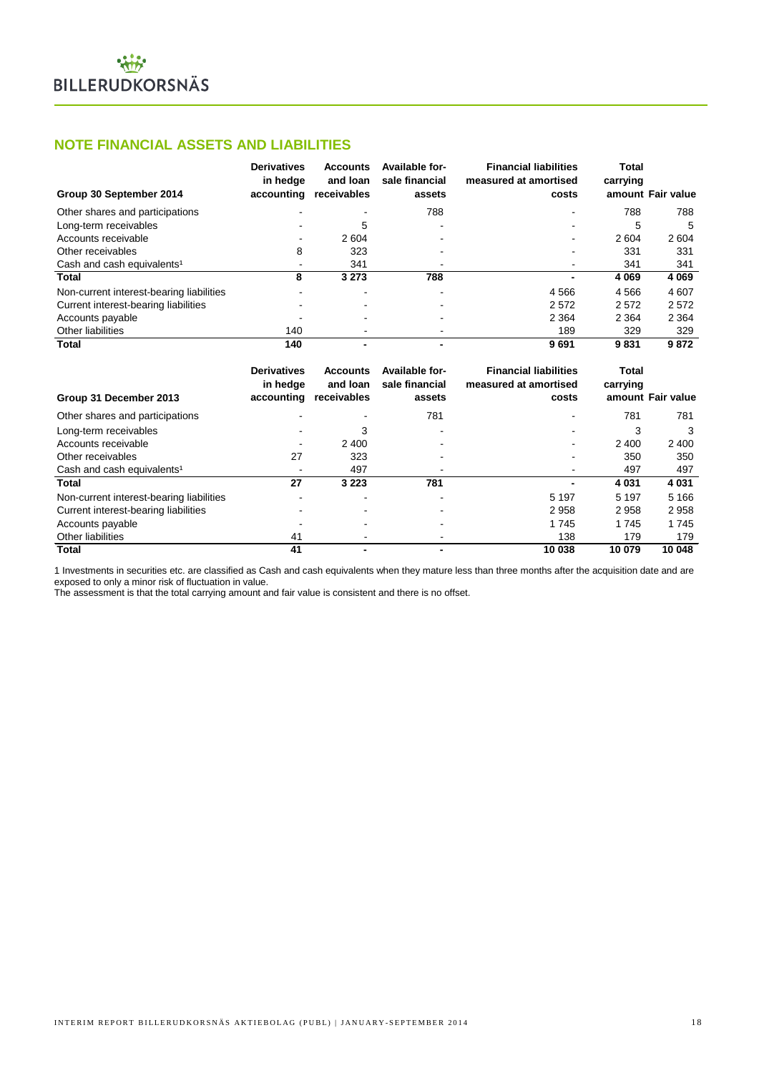#### **NOTE FINANCIAL ASSETS AND LIABILITIES**

| Group 30 September 2014                  | <b>Derivatives</b><br>in hedge<br>accounting | <b>Accounts</b><br>and loan<br>receivables | Available for-<br>sale financial<br>assets | <b>Financial liabilities</b><br>measured at amortised<br>costs | Total<br>carrying | amount Fair value |
|------------------------------------------|----------------------------------------------|--------------------------------------------|--------------------------------------------|----------------------------------------------------------------|-------------------|-------------------|
| Other shares and participations          |                                              |                                            | 788                                        |                                                                | 788               | 788               |
| Long-term receivables                    |                                              | 5                                          |                                            |                                                                | 5                 | 5                 |
| Accounts receivable                      | -                                            | 2 604                                      |                                            | ۰                                                              | 2604              | 2 604             |
| Other receivables                        | 8                                            | 323                                        |                                            |                                                                | 331               | 331               |
| Cash and cash equivalents <sup>1</sup>   |                                              | 341                                        |                                            | ۰                                                              | 341               | 341               |
| <b>Total</b>                             | 8                                            | 3 2 7 3                                    | 788                                        | $\blacksquare$                                                 | 4 0 6 9           | 4 0 6 9           |
| Non-current interest-bearing liabilities |                                              |                                            |                                            | 4566                                                           | 4566              | 4 607             |
| Current interest-bearing liabilities     |                                              | -                                          |                                            | 2572                                                           | 2572              | 2572              |
| Accounts payable                         |                                              |                                            |                                            | 2 3 6 4                                                        | 2 3 6 4           | 2 3 6 4           |
| Other liabilities                        | 140                                          |                                            |                                            | 189                                                            | 329               | 329               |
| <b>Total</b>                             | 140                                          |                                            |                                            | 9691                                                           | 9831              | 9872              |

| Group 31 December 2013                   | <b>Derivatives</b><br>in hedge<br>accounting | <b>Accounts</b><br>and loan<br>receivables | Available for-<br>sale financial<br>assets | <b>Financial liabilities</b><br>measured at amortised<br>costs | Total<br>carrying | amount Fair value |
|------------------------------------------|----------------------------------------------|--------------------------------------------|--------------------------------------------|----------------------------------------------------------------|-------------------|-------------------|
| Other shares and participations          |                                              |                                            | 781                                        |                                                                | 781               | 781               |
| Long-term receivables                    |                                              | 3                                          |                                            |                                                                | 3                 | 3                 |
| Accounts receivable                      | $\blacksquare$                               | 2 4 0 0                                    |                                            | $\,$                                                           | 2 4 0 0           | 2 4 0 0           |
| Other receivables                        | 27                                           | 323                                        |                                            |                                                                | 350               | 350               |
| Cash and cash equivalents <sup>1</sup>   | $\overline{\phantom{a}}$                     | 497                                        |                                            |                                                                | 497               | 497               |
| Total                                    | 27                                           | 3 2 2 3                                    | 781                                        |                                                                | 4 0 3 1           | 4 0 3 1           |
| Non-current interest-bearing liabilities | ۰                                            |                                            |                                            | 5 1 9 7                                                        | 5 1 9 7           | 5 1 6 6           |
| Current interest-bearing liabilities     |                                              |                                            |                                            | 2958                                                           | 2958              | 2958              |
| Accounts payable                         |                                              |                                            |                                            | 1745                                                           | 1745              | 1 7 4 5           |
| Other liabilities                        | 41                                           |                                            |                                            | 138                                                            | 179               | 179               |
| Total                                    | 41                                           |                                            |                                            | 10 038                                                         | 10 079            | 10 048            |

1 Investments in securities etc. are classified as Cash and cash equivalents when they mature less than three months after the acquisition date and are exposed to only a minor risk of fluctuation in value.

The assessment is that the total carrying amount and fair value is consistent and there is no offset.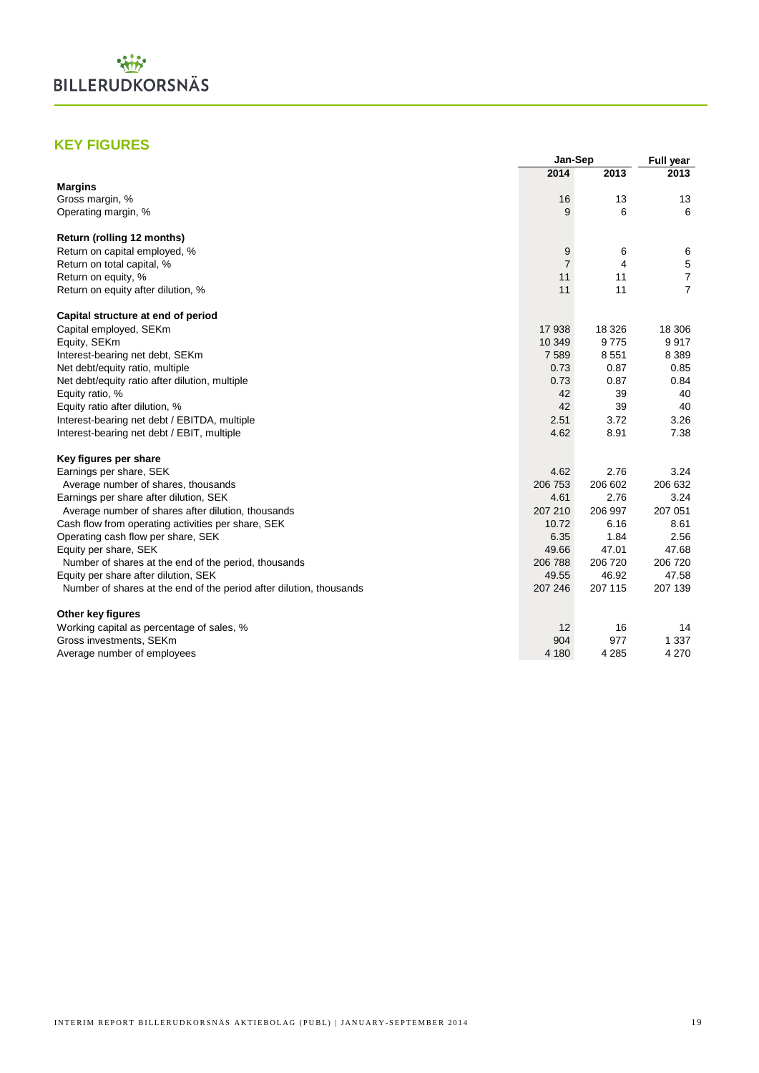

## **KEY FIGURES**

|                                                                     | Jan-Sep        |         | <b>Full year</b> |
|---------------------------------------------------------------------|----------------|---------|------------------|
|                                                                     | 2014           | 2013    | 2013             |
| <b>Margins</b>                                                      |                |         |                  |
| Gross margin, %                                                     | 16             | 13      | 13               |
| Operating margin, %                                                 | 9              | 6       | 6                |
| Return (rolling 12 months)                                          |                |         |                  |
| Return on capital employed, %                                       | 9              | 6       | 6                |
| Return on total capital, %                                          | $\overline{7}$ | 4       | $\,$ 5 $\,$      |
| Return on equity, %                                                 | 11             | 11      | $\overline{7}$   |
| Return on equity after dilution, %                                  | 11             | 11      | $\overline{7}$   |
| Capital structure at end of period                                  |                |         |                  |
| Capital employed, SEKm                                              | 17938          | 18 3 26 | 18 30 6          |
| Equity, SEKm                                                        | 10 349         | 9775    | 9917             |
| Interest-bearing net debt, SEKm                                     | 7589           | 8551    | 8 3 8 9          |
| Net debt/equity ratio, multiple                                     | 0.73           | 0.87    | 0.85             |
| Net debt/equity ratio after dilution, multiple                      | 0.73           | 0.87    | 0.84             |
| Equity ratio, %                                                     | 42             | 39      | 40               |
| Equity ratio after dilution, %                                      | 42             | 39      | 40               |
| Interest-bearing net debt / EBITDA, multiple                        | 2.51           | 3.72    | 3.26             |
| Interest-bearing net debt / EBIT, multiple                          | 4.62           | 8.91    | 7.38             |
| Key figures per share                                               |                |         |                  |
| Earnings per share, SEK                                             | 4.62           | 2.76    | 3.24             |
| Average number of shares, thousands                                 | 206 753        | 206 602 | 206 632          |
| Earnings per share after dilution, SEK                              | 4.61           | 2.76    | 3.24             |
| Average number of shares after dilution, thousands                  | 207 210        | 206 997 | 207 051          |
| Cash flow from operating activities per share, SEK                  | 10.72          | 6.16    | 8.61             |
| Operating cash flow per share, SEK                                  | 6.35           | 1.84    | 2.56             |
| Equity per share, SEK                                               | 49.66          | 47.01   | 47.68            |
| Number of shares at the end of the period, thousands                | 206 788        | 206 720 | 206 720          |
| Equity per share after dilution, SEK                                | 49.55          | 46.92   | 47.58            |
| Number of shares at the end of the period after dilution, thousands | 207 246        | 207 115 | 207 139          |
| Other key figures                                                   |                |         |                  |
| Working capital as percentage of sales, %                           | 12             | 16      | 14               |
| Gross investments, SEKm                                             | 904            | 977     | 1 3 3 7          |
| Average number of employees                                         | 4 1 8 0        | 4 2 8 5 | 4 2 7 0          |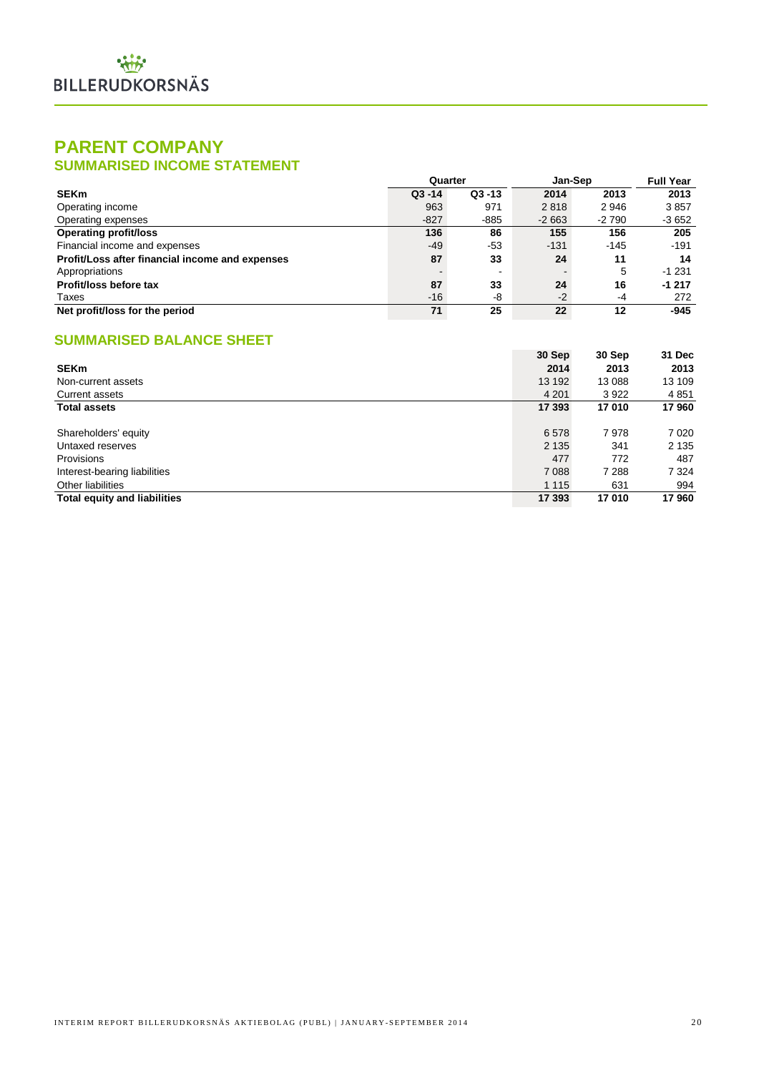## **PARENT COMPANY SUMMARISED INCOME STATEMENT**

|                                                 | Quarter   |           | Jan-Sep |        | <b>Full Year</b> |
|-------------------------------------------------|-----------|-----------|---------|--------|------------------|
| <b>SEKm</b>                                     | $Q3 - 14$ | $Q3 - 13$ | 2014    | 2013   | 2013             |
| Operating income                                | 963       | 971       | 2818    | 2946   | 3857             |
| Operating expenses                              | $-827$    | $-885$    | $-2663$ | -2 790 | $-3652$          |
| <b>Operating profit/loss</b>                    | 136       | 86        | 155     | 156    | 205              |
| Financial income and expenses                   | $-49$     | -53       | $-131$  | $-145$ | $-191$           |
| Profit/Loss after financial income and expenses | 87        | 33        | 24      | 11     | 14               |
| Appropriations                                  |           |           |         | 5      | $-1231$          |
| Profit/loss before tax                          | 87        | 33        | 24      | 16     | $-1217$          |
| Taxes                                           | $-16$     | -8        | $-2$    | -4     | 272              |
| Net profit/loss for the period                  | 71        | 25        | 22      | 12     | $-945$           |

## **SUMMARISED BALANCE SHEET**

|                                     | 30 Sep  | 30 Sep  | 31 Dec  |
|-------------------------------------|---------|---------|---------|
| <b>SEKm</b>                         | 2014    | 2013    | 2013    |
| Non-current assets                  | 13 192  | 13 088  | 13 109  |
| Current assets                      | 4 2 0 1 | 3922    | 4 8 5 1 |
| <b>Total assets</b>                 | 17 393  | 17010   | 17960   |
|                                     |         |         |         |
| Shareholders' equity                | 6578    | 7978    | 7 0 2 0 |
| Untaxed reserves                    | 2 1 3 5 | 341     | 2 1 3 5 |
| Provisions                          | 477     | 772     | 487     |
| Interest-bearing liabilities        | 7 0 8 8 | 7 2 8 8 | 7 3 2 4 |
| Other liabilities                   | 1 1 1 5 | 631     | 994     |
| <b>Total equity and liabilities</b> | 17 393  | 17010   | 17960   |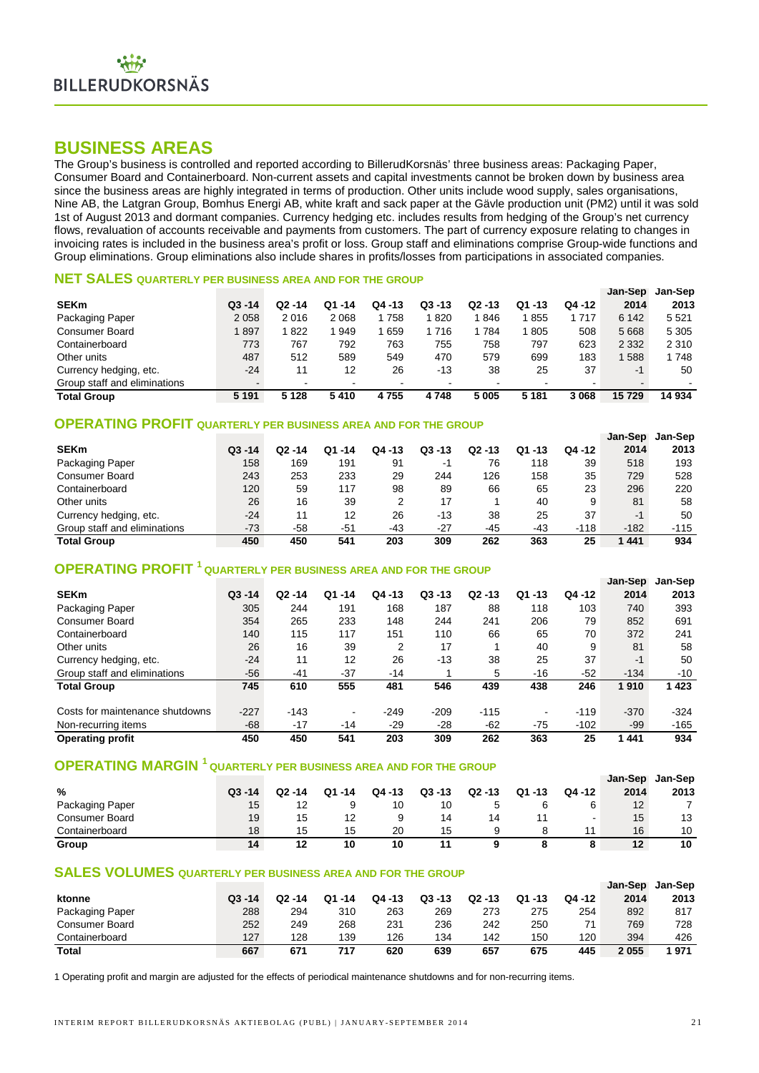## **BUSINESS AREAS**

The Group's business is controlled and reported according to BillerudKorsnäs' three business areas: Packaging Paper, Consumer Board and Containerboard. Non-current assets and capital investments cannot be broken down by business area since the business areas are highly integrated in terms of production. Other units include wood supply, sales organisations, Nine AB, the Latgran Group, Bomhus Energi AB, white kraft and sack paper at the Gävle production unit (PM2) until it was sold 1st of August 2013 and dormant companies. Currency hedging etc. includes results from hedging of the Group's net currency flows, revaluation of accounts receivable and payments from customers. The part of currency exposure relating to changes in invoicing rates is included in the business area's profit or loss. Group staff and eliminations comprise Group-wide functions and Group eliminations. Group eliminations also include shares in profits/losses from participations in associated companies.

#### **NET SALES QUARTERLY PER BUSINESS AREA AND FOR THE GROUP**

|                              |           |                          |        |        |           |           |           |         | Jan-Sep | Jan-Sep |
|------------------------------|-----------|--------------------------|--------|--------|-----------|-----------|-----------|---------|---------|---------|
| <b>SEKm</b>                  | $Q3 - 14$ | $Q2 - 14$                | Q1 -14 | Q4 -13 | $Q3 - 13$ | $Q2 - 13$ | $Q1 - 13$ | Q4 -12  | 2014    | 2013    |
| Packaging Paper              | 2058      | 2016                     | 2068   | 758    | 820       | 846       | 1855      | 717     | 6 1 4 2 | 5 5 2 1 |
| <b>Consumer Board</b>        | 1897      | 822 ا                    | 949    | 659    | 1 716     | 784       | 1805      | 508     | 5 6 6 8 | 5 3 0 5 |
| Containerboard               | 773       | 767                      | 792    | 763    | 755       | 758       | 797       | 623     | 2 3 3 2 | 2 3 1 0 |
| Other units                  | 487       | 512                      | 589    | 549    | 470       | 579       | 699       | 183     | 588     | 1748    |
| Currency hedging, etc.       | $-24$     | 11                       | 12     | 26     | $-13$     | 38        | 25        | 37      | $-1$    | 50      |
| Group staff and eliminations |           | $\overline{\phantom{0}}$ |        | -      |           |           |           |         |         |         |
| <b>Total Group</b>           | 5 1 9 1   | 5 1 2 8                  | 5410   | 4755   | 4748      | 5 0 0 5   | 5 1 8 1   | 3 0 6 8 | 15729   | 14 934  |

## **OPERATING PROFIT QUARTERLY PER BUSINESS AREA AND FOR THE GROUP**

|                              |           |        |        |           |           |           |             |        | Jan-Sep | Jan-Sep |
|------------------------------|-----------|--------|--------|-----------|-----------|-----------|-------------|--------|---------|---------|
| <b>SEKm</b>                  | $Q3 - 14$ | Q2 -14 | Q1 -14 | $Q$ 4 -13 | $Q3 - 13$ | $Q2 - 13$ | Q1<br>$-13$ | Q4 -12 | 2014    | 2013    |
| Packaging Paper              | 158       | 169    | 191    | 91        | -1        | 76        | 118         | 39     | 518     | 193     |
| <b>Consumer Board</b>        | 243       | 253    | 233    | 29        | 244       | 126       | 158         | 35     | 729     | 528     |
| Containerboard               | 120       | 59     | 117    | 98        | 89        | 66        | 65          | 23     | 296     | 220     |
| Other units                  | 26        | 16     | 39     | 2         | 17        |           | 40          | 9      | 81      | 58      |
| Currency hedging, etc.       | $-24$     | 11     | 12     | 26        | $-13$     | 38        | 25          | 37     | $-1$    | 50      |
| Group staff and eliminations | $-73$     | -58    | -51    | -43       | $-27$     | -45       | -43         | $-118$ | $-182$  | $-115$  |
| <b>Total Group</b>           | 450       | 450    | 541    | 203       | 309       | 262       | 363         | 25     | 1441    | 934     |

## **OPERATING PROFIT <sup>1</sup> QUARTERLY PER BUSINESS AREA AND FOR THE GROUP**

|                                 |           |           |                |           |           |           |           |        | Jan-Sep | Jan-Sep |
|---------------------------------|-----------|-----------|----------------|-----------|-----------|-----------|-----------|--------|---------|---------|
| <b>SEKm</b>                     | $Q3 - 14$ | $Q2 - 14$ | $Q1 - 14$      | $Q4 - 13$ | $Q3 - 13$ | $Q2 - 13$ | $Q1 - 13$ | Q4 -12 | 2014    | 2013    |
| Packaging Paper                 | 305       | 244       | 191            | 168       | 187       | 88        | 118       | 103    | 740     | 393     |
| <b>Consumer Board</b>           | 354       | 265       | 233            | 148       | 244       | 241       | 206       | 79     | 852     | 691     |
| Containerboard                  | 140       | 115       | 117            | 151       | 110       | 66        | 65        | 70     | 372     | 241     |
| Other units                     | 26        | 16        | 39             | 2         | 17        |           | 40        | 9      | 81      | 58      |
| Currency hedging, etc.          | $-24$     | 11        | 12             | 26        | $-13$     | 38        | 25        | 37     | $-1$    | 50      |
| Group staff and eliminations    | $-56$     | $-41$     | $-37$          | $-14$     |           | 5         | $-16$     | $-52$  | $-134$  | $-10$   |
| <b>Total Group</b>              | 745       | 610       | 555            | 481       | 546       | 439       | 438       | 246    | 1910    | 1423    |
| Costs for maintenance shutdowns | $-227$    | $-143$    | $\blacksquare$ | $-249$    | $-209$    | $-115$    | -         | $-119$ | $-370$  | $-324$  |
| Non-recurring items             | $-68$     | $-17$     | $-14$          | $-29$     | $-28$     | $-62$     | $-75$     | $-102$ | $-99$   | $-165$  |
| <b>Operating profit</b>         | 450       | 450       | 541            | 203       | 309       | 262       | 363       | 25     | 1441    | 934     |

## **OPERATING MARGIN <sup>1</sup> QUARTERLY PER BUSINESS AREA AND FOR THE GROUP**

|                       |           |           |        |        |           |           |           |        | Jan-Sep      | Jan-Sep |
|-----------------------|-----------|-----------|--------|--------|-----------|-----------|-----------|--------|--------------|---------|
| %                     | $Q3 - 14$ | $Q2 - 14$ | Q1 -14 | Q4 -13 | $Q3 - 13$ | $Q2 - 13$ | $Q1 - 13$ | Q4 -12 | 2014         | 2013    |
| Packaging Paper       | 15        | 12        | ч      | 10     | 10        |           |           |        | $12^{\circ}$ |         |
| <b>Consumer Board</b> | 19        | 15        | 12     |        | 14        | 14        |           |        | 15           | 13      |
| Containerboard        | 18        | 15        | 15     | 20     | 15        |           |           |        | 16           | 10      |
| Group                 | 14        | 12        | 10     | 10     | 11        |           |           |        | $12 \,$      | 10      |

#### **SALES VOLUMES QUARTERLY PER BUSINESS AREA AND FOR THE GROUP**

|                       |           |           |        |        |           |           |        |        | Jan-Sep | Jan-Sep |
|-----------------------|-----------|-----------|--------|--------|-----------|-----------|--------|--------|---------|---------|
| ktonne                | $Q3 - 14$ | $Q2 - 14$ | Q1 -14 | Q4 -13 | $Q3 - 13$ | $Q2 - 13$ | Q1 -13 | Q4 -12 | 2014    | 2013    |
| Packaging Paper       | 288       | 294       | 310    | 263    | 269       | 273       | 275    | 254    | 892     | 817     |
| <b>Consumer Board</b> | 252       | 249       | 268    | 231    | 236       | 242       | 250    | 71     | 769     | 728     |
| Containerboard        | 127       | 128       | 139    | 126    | 134       | 142       | 150    | 120    | 394     | 426     |
| <b>Total</b>          | 667       | 671       | 717    | 620    | 639       | 657       | 675    | 445    | 2055    | 1971    |

1 Operating profit and margin are adjusted for the effects of periodical maintenance shutdowns and for non-recurring items.

**Jan-Sep**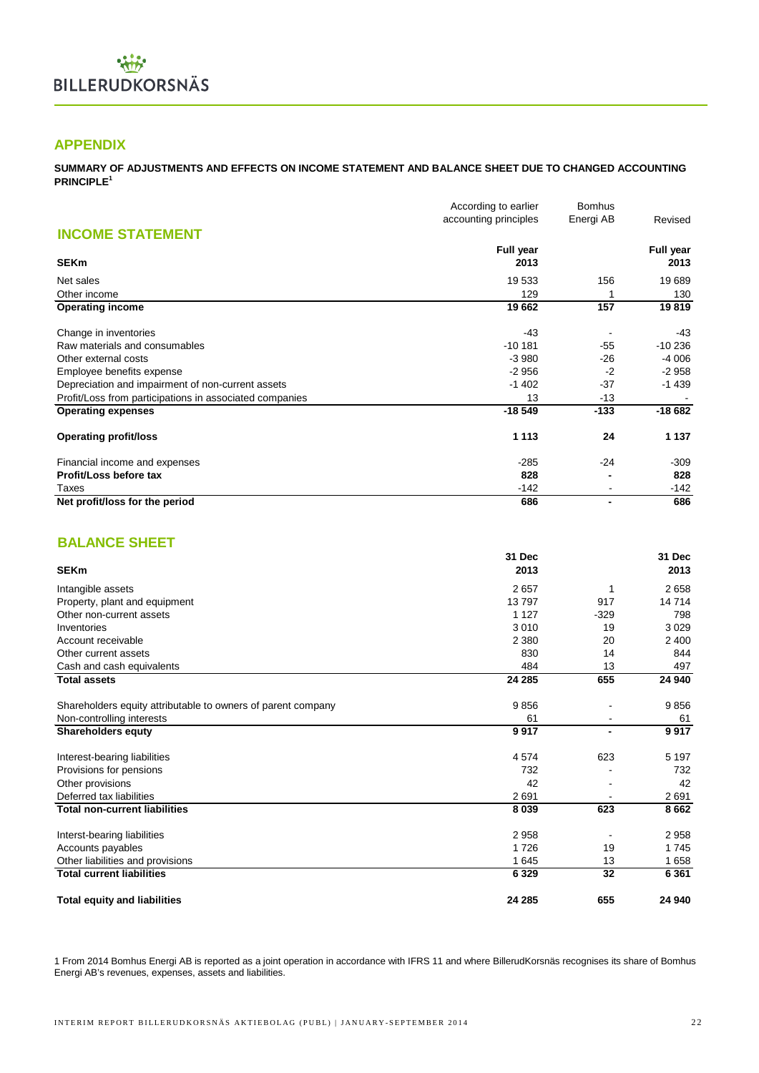

## **APPENDIX**

**SUMMARY OF ADJUSTMENTS AND EFFECTS ON INCOME STATEMENT AND BALANCE SHEET DUE TO CHANGED ACCOUNTING PRINCIPLE<sup>1</sup>**

|                                                         | According to earlier  | <b>Bomhus</b>  |                  |  |
|---------------------------------------------------------|-----------------------|----------------|------------------|--|
|                                                         | accounting principles | Energi AB      | Revised          |  |
| <b>INCOME STATEMENT</b>                                 |                       |                |                  |  |
|                                                         | <b>Full year</b>      |                | <b>Full year</b> |  |
| <b>SEKm</b>                                             | 2013                  |                | 2013             |  |
| Net sales                                               | 19 533                | 156            | 19689            |  |
| Other income                                            | 129                   |                | 130              |  |
| <b>Operating income</b>                                 | 19662                 | 157            | 19819            |  |
| Change in inventories                                   | $-43$                 |                | -43              |  |
| Raw materials and consumables                           | $-10181$              | $-55$          | $-10236$         |  |
| Other external costs                                    | $-3980$               | $-26$          | $-4006$          |  |
| Employee benefits expense                               | $-2956$               | $-2$           | $-2958$          |  |
| Depreciation and impairment of non-current assets       | $-1402$               | $-37$          | $-1439$          |  |
| Profit/Loss from participations in associated companies | 13                    | $-13$          |                  |  |
| <b>Operating expenses</b>                               | $-18549$              | $-133$         | $-18682$         |  |
| <b>Operating profit/loss</b>                            | 1 1 1 3               | 24             | 1 1 3 7          |  |
| Financial income and expenses                           | $-285$                | $-24$          | $-309$           |  |
| Profit/Loss before tax                                  | 828                   |                | 828              |  |
| Taxes                                                   | $-142$                |                | $-142$           |  |
| Net profit/loss for the period                          | 686                   | $\blacksquare$ | 686              |  |

## **BALANCE SHEET**

|                                                              | 31 Dec  |        | 31 Dec  |
|--------------------------------------------------------------|---------|--------|---------|
| <b>SEKm</b>                                                  | 2013    |        | 2013    |
| Intangible assets                                            | 2657    | 1      | 2658    |
| Property, plant and equipment                                | 13797   | 917    | 14714   |
| Other non-current assets                                     | 1 1 2 7 | $-329$ | 798     |
| Inventories                                                  | 3 0 1 0 | 19     | 3029    |
| Account receivable                                           | 2 3 8 0 | 20     | 2 4 0 0 |
| Other current assets                                         | 830     | 14     | 844     |
| Cash and cash equivalents                                    | 484     | 13     | 497     |
| <b>Total assets</b>                                          | 24 285  | 655    | 24 940  |
| Shareholders equity attributable to owners of parent company | 9856    |        | 9856    |
| Non-controlling interests                                    | 61      |        | 61      |
| <b>Shareholders equty</b>                                    | 9917    |        | 9917    |
| Interest-bearing liabilities                                 | 4574    | 623    | 5 1 9 7 |
| Provisions for pensions                                      | 732     |        | 732     |
| Other provisions                                             | 42      |        | 42      |
| Deferred tax liabilities                                     | 2691    |        | 2691    |
| <b>Total non-current liabilities</b>                         | 8 0 3 9 | 623    | 8662    |
| Interst-bearing liabilities                                  | 2958    |        | 2958    |
| Accounts payables                                            | 1726    | 19     | 1745    |
| Other liabilities and provisions                             | 1645    | 13     | 1658    |
| <b>Total current liabilities</b>                             | 6 3 2 9 | 32     | 6 3 6 1 |
| <b>Total equity and liabilities</b>                          | 24 285  | 655    | 24 940  |

1 From 2014 Bomhus Energi AB is reported as a joint operation in accordance with IFRS 11 and where BillerudKorsnäs recognises its share of Bomhus Energi AB's revenues, expenses, assets and liabilities.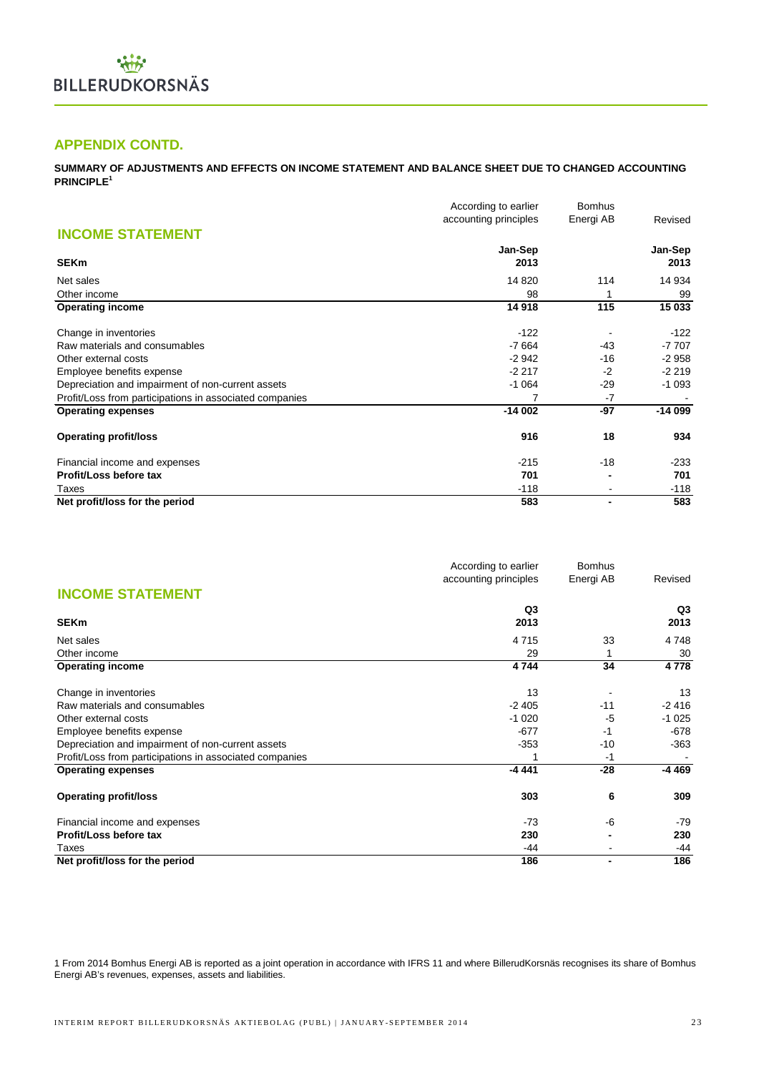## **APPENDIX CONTD.**

**SUMMARY OF ADJUSTMENTS AND EFFECTS ON INCOME STATEMENT AND BALANCE SHEET DUE TO CHANGED ACCOUNTING PRINCIPLE<sup>1</sup>**

|                                                         | According to earlier  | <b>Bomhus</b>  |          |  |
|---------------------------------------------------------|-----------------------|----------------|----------|--|
|                                                         | accounting principles | Energi AB      | Revised  |  |
| <b>INCOME STATEMENT</b>                                 |                       |                |          |  |
|                                                         | Jan-Sep               |                | Jan-Sep  |  |
| <b>SEKm</b>                                             | 2013                  |                | 2013     |  |
| Net sales                                               | 14 8 20               | 114            | 14 934   |  |
| Other income                                            | 98                    |                | 99       |  |
| <b>Operating income</b>                                 | 14 918                | 115            | 15 033   |  |
| Change in inventories                                   | $-122$                |                | $-122$   |  |
| Raw materials and consumables                           | $-7664$               | -43            | $-7707$  |  |
| Other external costs                                    | $-2942$               | $-16$          | $-2958$  |  |
| Employee benefits expense                               | $-2217$               | $-2$           | $-2219$  |  |
| Depreciation and impairment of non-current assets       | $-1064$               | $-29$          | $-1093$  |  |
| Profit/Loss from participations in associated companies | 7                     | $-7$           |          |  |
| <b>Operating expenses</b>                               | $-14002$              | -97            | $-14099$ |  |
| <b>Operating profit/loss</b>                            | 916                   | 18             | 934      |  |
| Financial income and expenses                           | $-215$                | $-18$          | $-233$   |  |
| Profit/Loss before tax                                  | 701                   |                | 701      |  |
| Taxes                                                   | $-118$                |                | $-118$   |  |
| Net profit/loss for the period                          | 583                   | $\blacksquare$ | 583      |  |

|                                                         | According to earlier  | <b>Bomhus</b> |         |  |
|---------------------------------------------------------|-----------------------|---------------|---------|--|
|                                                         | accounting principles | Energi AB     | Revised |  |
| <b>INCOME STATEMENT</b>                                 |                       |               |         |  |
|                                                         | Q3                    |               | Q3      |  |
| <b>SEKm</b>                                             | 2013                  |               | 2013    |  |
| Net sales                                               | 4715                  | 33            | 4748    |  |
| Other income                                            | 29                    |               | 30      |  |
| <b>Operating income</b>                                 | 4744                  | 34            | 4778    |  |
| Change in inventories                                   | 13                    |               | 13      |  |
| Raw materials and consumables                           | $-2405$               | $-11$         | $-2416$ |  |
| Other external costs                                    | $-1020$               | -5            | $-1025$ |  |
| Employee benefits expense                               | $-677$                | $-1$          | -678    |  |
| Depreciation and impairment of non-current assets       | $-353$                | -10           | $-363$  |  |
| Profit/Loss from participations in associated companies |                       | $-1$          |         |  |
| <b>Operating expenses</b>                               | $-4441$               | $-28$         | -4 469  |  |
| <b>Operating profit/loss</b>                            | 303                   | 6             | 309     |  |
| Financial income and expenses                           | $-73$                 | -6            | $-79$   |  |
| Profit/Loss before tax                                  | 230                   |               | 230     |  |
| Taxes                                                   | -44                   |               | -44     |  |
| Net profit/loss for the period                          | 186                   |               | 186     |  |

1 From 2014 Bomhus Energi AB is reported as a joint operation in accordance with IFRS 11 and where BillerudKorsnäs recognises its share of Bomhus Energi AB's revenues, expenses, assets and liabilities.